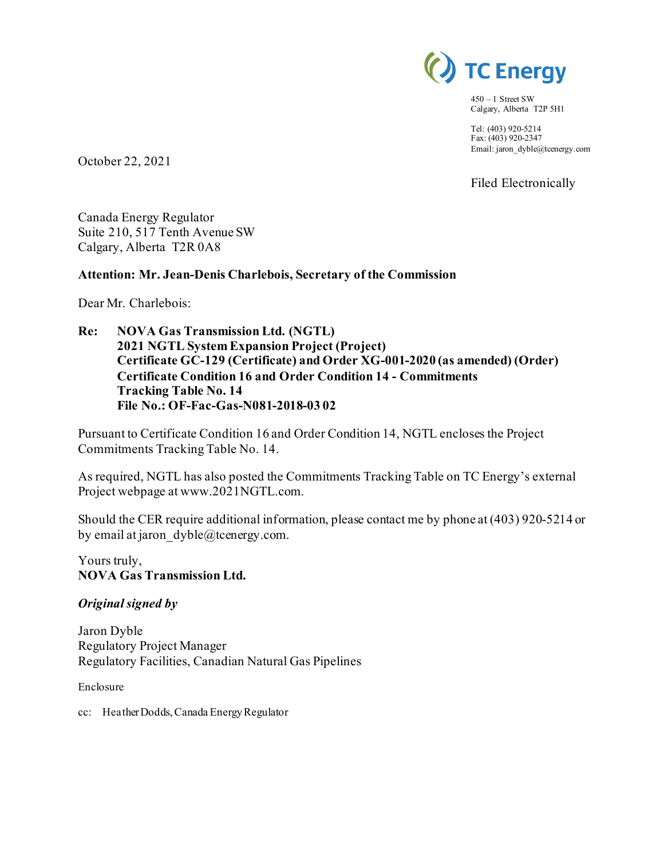

 $450 - 1$  Street SW Calgary, Alberta T2P 5H1

Tel: (403) 920-5214 Fax: (403) 920-2347 Email: jaron\_dyble@tcenergy.com

Filed Electronically

October 22, 2021

Canada Energy Regulator Suite 210, 517 Tenth Avenue SW Calgary, Alberta T2R 0A8

#### **Attention: Mr. Jean-Denis Charlebois, Secretary of the Commission**

Dear Mr. Charlebois:

**Re: NOVA Gas Transmission Ltd. (NGTL) 2021 NGTL System Expansion Project (Project) Certificate GC-129 (Certificate) and Order XG-001-2020 (as amended) (Order) Certificate Condition 16 and Order Condition 14 - Commitments Tracking Table No. 14 File No.: OF-Fac-Gas-N081-2018-03 02**

Pursuant to Certificate Condition 16 and Order Condition 14, NGTL encloses the Project Commitments Tracking Table No. 14.

As required, NGTL has also posted the Commitments Tracking Table on TC Energy's external Project webpage at www.2021NGTL.com.

Should the CER require additional information, please contact me by phone at (403) 920-5214 or by email at jaron  $dyble@tcentery.com$ .

Yours truly, **NOVA Gas Transmission Ltd.**

#### *Original signed by*

Jaron Dyble Regulatory Project Manager Regulatory Facilities, Canadian Natural Gas Pipelines

Enclosure

cc: Heather Dodds, Canada Energy Regulator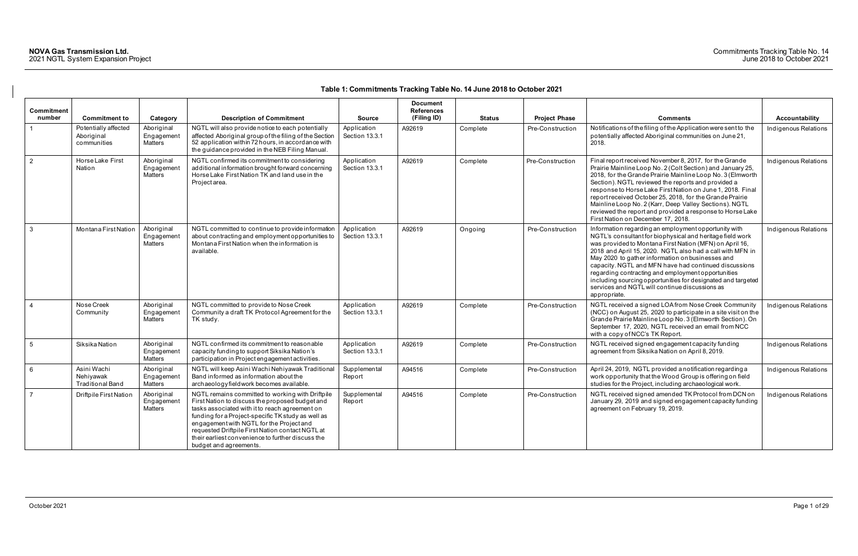#### **Table 1: Commitments Tracking Table No. 14 June 2018 to October 2021**

| <b>Commitment</b> |                                                     |                                           |                                                                                                                                                                                                                                                                                                                                                                                            |                               | <b>Document</b><br><b>References</b> |               |                      |                                                                                                                                                                                                                                                                                                                                                                                                                                                                                                                                                |                       |
|-------------------|-----------------------------------------------------|-------------------------------------------|--------------------------------------------------------------------------------------------------------------------------------------------------------------------------------------------------------------------------------------------------------------------------------------------------------------------------------------------------------------------------------------------|-------------------------------|--------------------------------------|---------------|----------------------|------------------------------------------------------------------------------------------------------------------------------------------------------------------------------------------------------------------------------------------------------------------------------------------------------------------------------------------------------------------------------------------------------------------------------------------------------------------------------------------------------------------------------------------------|-----------------------|
| number            | <b>Commitment to</b>                                | Category                                  | <b>Description of Commitment</b>                                                                                                                                                                                                                                                                                                                                                           | <b>Source</b>                 | (Filing ID)                          | <b>Status</b> | <b>Project Phase</b> | <b>Comments</b>                                                                                                                                                                                                                                                                                                                                                                                                                                                                                                                                | <b>Accountability</b> |
|                   | Potentially affected<br>Aboriginal<br>communities   | Aboriginal<br>Engagement<br>Matters       | NGTL will also provide notice to each potentially<br>affected Aboriginal group of the filing of the Section<br>52 application within 72 hours, in accordance with<br>the guidance provided in the NEB Filing Manual.                                                                                                                                                                       | Application<br>Section 13.3.1 | A92619                               | Complete      | Pre-Construction     | Notifications of the filing of the Application were sent to the<br>potentially affected Aboriginal communities on June 21,<br>2018.                                                                                                                                                                                                                                                                                                                                                                                                            | Indigenous Relations  |
| $\overline{2}$    | Horse Lake First<br>Nation                          | Aboriginal<br>Engagement<br>Matters       | NGTL confirmed its commitment to considering<br>additional information brought forward concerning<br>Horse Lake First Nation TK and land use in the<br>Project area.                                                                                                                                                                                                                       | Application<br>Section 13.3.1 | A92619                               | Complete      | Pre-Construction     | Final report received November 8, 2017, for the Grande<br>Prairie Mainline Loop No. 2 (Colt Section) and January 25,<br>2018, for the Grande Prairie Mainline Loop No. 3 (Elmworth<br>Section). NGTL reviewed the reports and provided a<br>response to Horse Lake First Nation on June 1, 2018. Final<br>report received October 25, 2018, for the Grande Prairie<br>Mainline Loop No. 2 (Karr, Deep Valley Sections). NGTL<br>reviewed the report and provided a response to Horse Lake<br>First Nation on December 17, 2018.                | Indigenous Relations  |
| $\mathbf{3}$      | Montana First Nation                                | Aboriginal<br>Engagemen<br><b>Matters</b> | NGTL committed to continue to provide information<br>about contracting and employment opportunities to<br>Montana First Nation when the information is<br>available.                                                                                                                                                                                                                       | Application<br>Section 13.3.1 | A92619                               | Ongoing       | Pre-Construction     | Information regarding an employment opportunity with<br>NGTL's consultant for biophysical and heritage field work<br>was provided to Montana First Nation (MFN) on April 16,<br>2018 and April 15, 2020. NGTL also had a call with MFN in<br>May 2020 to gather information on businesses and<br>capacity. NGTL and MFN have had continued discussions<br>regarding contracting and employment opportunities<br>including sourcing opportunities for designated and targeted<br>services and NGTL will continue discussions as<br>appropriate. | Indigenous Relations  |
| $\overline{4}$    | Nose Creek<br>Community                             | Aboriginal<br>Engagemen<br>Matters        | NGTL committed to provide to Nose Creek<br>Community a draft TK Protocol Agreement for the<br>TK study.                                                                                                                                                                                                                                                                                    | Application<br>Section 13.3.1 | A92619                               | Complete      | Pre-Construction     | NGTL received a signed LOA from Nose Creek Community<br>(NCC) on August 25, 2020 to participate in a site visit on the<br>Grande Prairie Mainline Loop No. 3 (Elmworth Section). On<br>September 17, 2020, NGTL received an email from NCC<br>with a copy of NCC's TK Report.                                                                                                                                                                                                                                                                  | Indigenous Relations  |
| $5\phantom{.0}$   | Siksika Nation                                      | Aboriginal<br>Engagement<br>Matters       | NGTL confirmed its commitment to reasonable<br>capacity funding to support Siksika Nation's<br>participation in Project engagement activities.                                                                                                                                                                                                                                             | Application<br>Section 13.3.1 | A92619                               | Complete      | Pre-Construction     | NGTL received signed engagement capacity funding<br>agreement from Siksika Nation on April 8, 2019.                                                                                                                                                                                                                                                                                                                                                                                                                                            | Indigenous Relations  |
| 6                 | Asini Wachi<br>Nehiyawak<br><b>Traditional Band</b> | Aboriginal<br>Engagement<br>Matters       | NGTL will keep Asini Wachi Nehiyawak Traditional<br>Band informed as information about the<br>archaeologyfieldwork becomes available.                                                                                                                                                                                                                                                      | Supplemental<br>Report        | A94516                               | Complete      | Pre-Construction     | April 24, 2019, NGTL provided a notification regarding a<br>work opportunity that the Wood Group is offering on field<br>studies for the Project, including archaeological work.                                                                                                                                                                                                                                                                                                                                                               | Indigenous Relations  |
| $\overline{7}$    | Driftpile First Nation                              | Aboriginal<br>Engagemen<br>Matters        | NGTL remains committed to working with Driftpile<br>First Nation to discuss the proposed budget and<br>tasks associated with it to reach agreement on<br>funding for a Project-specific TK study as well as<br>engagement with NGTL for the Project and<br>requested Driftpile First Nation contact NGTL at<br>their earliest convenience to further discuss the<br>budget and agreements. | Supplemental<br>Report        | A94516                               | Complete      | Pre-Construction     | NGTL received signed amended TK Protocol from DCN on<br>January 29, 2019 and signed engagement capacity funding<br>agreement on February 19, 2019.                                                                                                                                                                                                                                                                                                                                                                                             | Indigenous Relations  |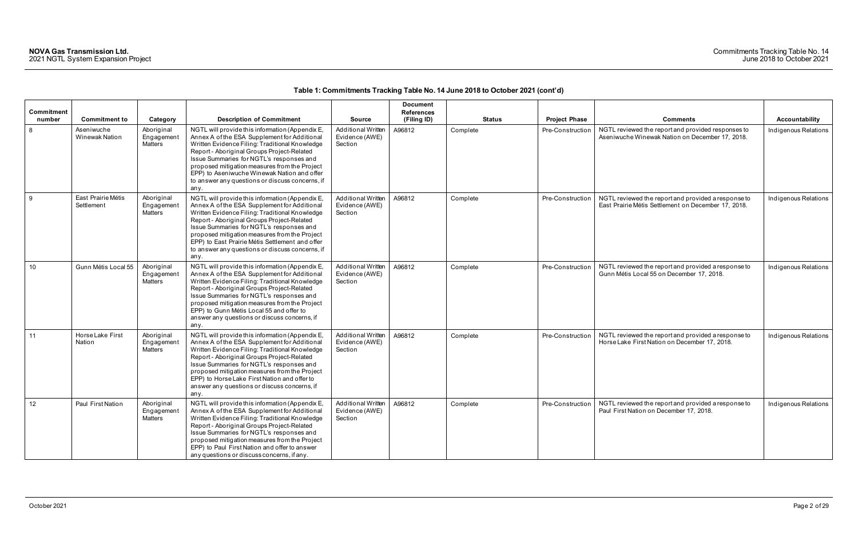| Commitment<br>number | <b>Commitment to</b>             | Category                                   | <b>Description of Commitment</b>                                                                                                                                                                                                                                                                                                                                                                           | <b>Source</b>                                          | <b>Document</b><br><b>References</b><br>(Filing ID) | <b>Status</b> | <b>Project Phase</b> | <b>Comments</b>                                                                                            | Accountability       |
|----------------------|----------------------------------|--------------------------------------------|------------------------------------------------------------------------------------------------------------------------------------------------------------------------------------------------------------------------------------------------------------------------------------------------------------------------------------------------------------------------------------------------------------|--------------------------------------------------------|-----------------------------------------------------|---------------|----------------------|------------------------------------------------------------------------------------------------------------|----------------------|
| 8                    | Aseniwuche<br>Winewak Nation     | Aboriginal<br>Engagement<br>Matters        | NGTL will provide this information (Appendix E,<br>Annex A of the ESA Supplement for Additional<br>Written Evidence Filing: Traditional Knowledge<br>Report - Aboriginal Groups Project-Related<br>Issue Summaries for NGTL's responses and<br>proposed mitigation measures from the Project<br>EPP) to Aseniwuche Winewak Nation and offer<br>to answer any questions or discuss concerns, if<br>any.     | Additional Written<br>Evidence (AWE)<br>Section        | A96812                                              | Complete      | Pre-Construction     | NGTL reviewed the report and provided responses to<br>Aseniwuche Winewak Nation on December 17, 2018.      | Indigenous Relations |
| 9                    | East Prairie Métis<br>Settlement | Aboriginal<br>Engagement<br>Matters        | NGTL will provide this information (Appendix E,<br>Annex A of the ESA Supplement for Additional<br>Written Evidence Filing: Traditional Knowledge<br>Report - Aboriginal Groups Project-Related<br>Issue Summaries for NGTL's responses and<br>proposed mitigation measures from the Project<br>EPP) to East Prairie Métis Settlement and offer<br>to answer any questions or discuss concerns, if<br>any. | <b>Additional Written</b><br>Evidence (AWE)<br>Section | A96812                                              | Complete      | Pre-Construction     | NGTL reviewed the report and provided a response to<br>East Prairie Métis Settlement on December 17, 2018. | Indigenous Relations |
| 10                   | Gunn Métis Local 55              | Aboriginal<br>Engagement<br>Matters        | NGTL will provide this information (Appendix E,<br>Annex A of the ESA Supplement for Additional<br>Written Evidence Filing: Traditional Knowledge<br>Report - Aboriginal Groups Project-Related<br>Issue Summaries for NGTL's responses and<br>proposed mitigation measures from the Project<br>EPP) to Gunn Métis Local 55 and offer to<br>answer any questions or discuss concerns, if<br>any.           | <b>Additional Written</b><br>Evidence (AWE)<br>Section | A96812                                              | Complete      | Pre-Construction     | NGTL reviewed the report and provided a response to<br>Gunn Métis Local 55 on December 17, 2018.           | Indigenous Relations |
| 11                   | Horse Lake First<br>Nation       | Aboriginal<br>Engagement<br><b>Matters</b> | NGTL will provide this information (Appendix E,<br>Annex A of the ESA Supplement for Additional<br>Written Evidence Filing: Traditional Knowledge<br>Report - Aboriginal Groups Project-Related<br>Issue Summaries for NGTL's responses and<br>proposed mitigation measures from the Project<br>EPP) to Horse Lake First Nation and offer to<br>answer any questions or discuss concerns, if<br>any.       | Additional Written<br>Evidence (AWE)<br>Section        | A96812                                              | Complete      | Pre-Construction     | NGTL reviewed the report and provided a response to<br>Horse Lake First Nation on December 17, 2018.       | Indigenous Relations |
| 12                   | Paul First Nation                | Aboriginal<br>Engagement<br><b>Matters</b> | NGTL will provide this information (Appendix E,<br>Annex A of the ESA Supplement for Additional<br>Written Evidence Filing: Traditional Knowledge<br>Report - Aboriginal Groups Project-Related<br>Issue Summaries for NGTL's responses and<br>proposed mitigation measures from the Project<br>EPP) to Paul First Nation and offer to answer<br>any questions or discuss concerns, if any.                | <b>Additional Written</b><br>Evidence (AWE)<br>Section | A96812                                              | Complete      | Pre-Construction     | NGTL reviewed the report and provided a response to<br>Paul First Nation on December 17, 2018.             | Indigenous Relations |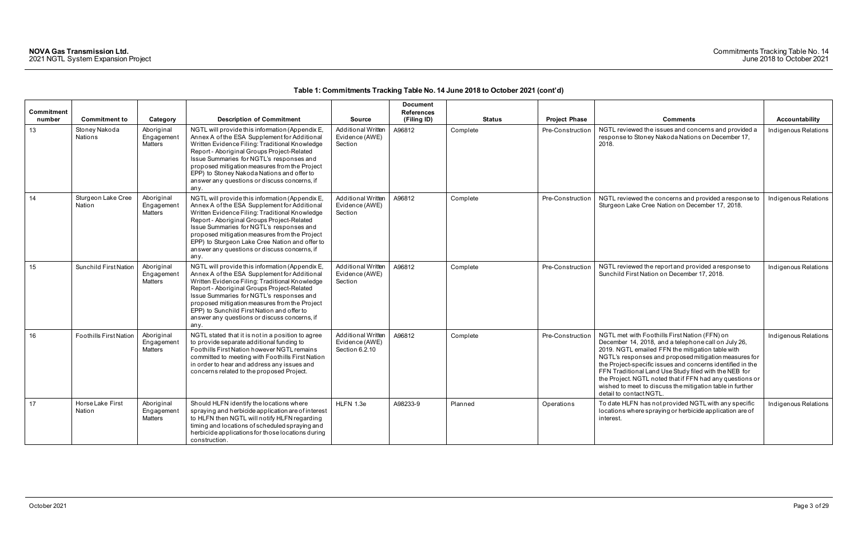| <b>Commitment</b><br>number | <b>Commitment to</b>          | Category                            | <b>Description of Commitment</b>                                                                                                                                                                                                                                                                                                                                                                       | <b>Source</b>                                          | <b>Document</b><br><b>References</b><br>(Filing ID) | <b>Status</b> | <b>Project Phase</b> | <b>Comments</b>                                                                                                                                                                                                                                                                                                                                                                                                                                                                              | Accountability       |
|-----------------------------|-------------------------------|-------------------------------------|--------------------------------------------------------------------------------------------------------------------------------------------------------------------------------------------------------------------------------------------------------------------------------------------------------------------------------------------------------------------------------------------------------|--------------------------------------------------------|-----------------------------------------------------|---------------|----------------------|----------------------------------------------------------------------------------------------------------------------------------------------------------------------------------------------------------------------------------------------------------------------------------------------------------------------------------------------------------------------------------------------------------------------------------------------------------------------------------------------|----------------------|
| 13                          | Stoney Nakoda<br>Nations      | Aboriginal<br>Engagement<br>Matters | NGTL will provide this information (Appendix E,<br>Annex A of the ESA Supplement for Additional<br>Written Evidence Filing: Traditional Knowledge<br>Report - Aboriginal Groups Project-Related<br>Issue Summaries for NGTL's responses and<br>proposed mitigation measures from the Project<br>EPP) to Stoney Nakoda Nations and offer to<br>answer any questions or discuss concerns, if<br>any.     | <b>Additional Written</b><br>Evidence (AWE)<br>Section | A96812                                              | Complete      | Pre-Construction     | NGTL reviewed the issues and concerns and provided a<br>response to Stoney Nakoda Nations on December 17,<br>2018.                                                                                                                                                                                                                                                                                                                                                                           | Indigenous Relations |
| 14                          | Sturgeon Lake Cree<br>Nation  | Aboriginal<br>Engagement<br>Matters | NGTL will provide this information (Appendix E,<br>Annex A of the ESA Supplement for Additional<br>Written Evidence Filing: Traditional Knowledge<br>Report - Aboriginal Groups Project-Related<br>Issue Summaries for NGTL's responses and<br>proposed mitigation measures from the Project<br>EPP) to Sturgeon Lake Cree Nation and offer to<br>answer any questions or discuss concerns, if<br>any. | <b>Additional Written</b><br>Evidence (AWE)<br>Section | A96812                                              | Complete      | Pre-Construction     | NGTL reviewed the concerns and provided a response to<br>Sturgeon Lake Cree Nation on December 17, 2018.                                                                                                                                                                                                                                                                                                                                                                                     | Indigenous Relations |
| 15                          | <b>Sunchild First Nation</b>  | Aboriginal<br>Engagement<br>Matters | NGTL will provide this information (Appendix E,<br>Annex A of the ESA Supplement for Additional<br>Written Evidence Filing: Traditional Knowledge<br>Report - Aboriginal Groups Project-Related<br>Issue Summaries for NGTL's responses and<br>proposed mitigation measures from the Project<br>EPP) to Sunchild First Nation and offer to<br>answer any questions or discuss concerns, if<br>any.     | <b>Additional Written</b><br>Evidence (AWE)<br>Section | A96812                                              | Complete      | Pre-Construction     | NGTL reviewed the report and provided a response to<br>Sunchild First Nation on December 17, 2018.                                                                                                                                                                                                                                                                                                                                                                                           | Indigenous Relations |
| 16                          | <b>Foothills First Nation</b> | Aboriginal<br>Engagemen<br>Matters  | NGTL stated that it is not in a position to agree<br>to provide separate additional funding to<br>Foothills First Nation however NGTL remains<br>committed to meeting with Foothills First Nation<br>in order to hear and address any issues and<br>concerns related to the proposed Project.                                                                                                          | Additional Written<br>Evidence (AWE)<br>Section 6.2.10 | A96812                                              | Complete      | Pre-Construction     | NGTL met with Foothills First Nation (FFN) on<br>December 14, 2018, and a telephone call on July 26,<br>2019. NGTL emailed FFN the mitigation table with<br>NGTL's responses and proposed mitigation measures for<br>the Project-specific issues and concerns identified in the<br>FFN Traditional Land Use Study filed with the NEB for<br>the Project. NGTL noted that if FFN had any questions or<br>wished to meet to discuss the mitigation table in further<br>detail to contact NGTL. | Indigenous Relations |
| 17                          | Horse Lake First<br>Nation    | Aboriginal<br>Engagement<br>Matters | Should HLFN identify the locations where<br>spraying and herbicide application are of interest<br>to HLFN then NGTL will notify HLFN regarding<br>timing and locations of scheduled spraying and<br>herbicide applications for those locations during<br>construction.                                                                                                                                 | HLFN 1.3e                                              | A98233-9                                            | Planned       | Operations           | To date HLFN has not provided NGTL with any specific<br>locations where spraying or herbicide application are of<br>interest.                                                                                                                                                                                                                                                                                                                                                                | Indigenous Relations |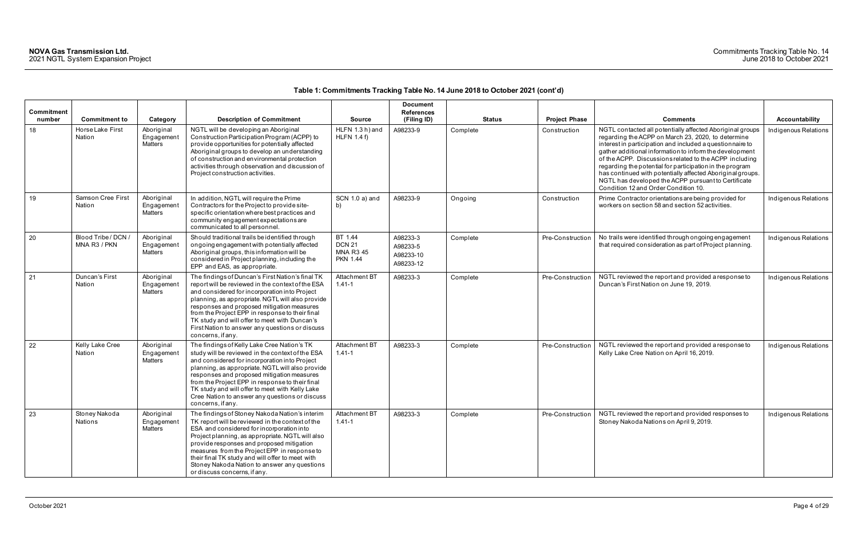| Commitment<br>number | <b>Commitment to</b>                | Category                                   | <b>Description of Commitment</b>                                                                                                                                                                                                                                                                                                                                                                                                     | <b>Source</b>                                                   | <b>Document</b><br><b>References</b><br>(Filing ID) | Status   | <b>Project Phase</b> | <b>Comments</b>                                                                                                                                                                                                                                                                                                                                                                                                                                                                                                            | Accountability       |
|----------------------|-------------------------------------|--------------------------------------------|--------------------------------------------------------------------------------------------------------------------------------------------------------------------------------------------------------------------------------------------------------------------------------------------------------------------------------------------------------------------------------------------------------------------------------------|-----------------------------------------------------------------|-----------------------------------------------------|----------|----------------------|----------------------------------------------------------------------------------------------------------------------------------------------------------------------------------------------------------------------------------------------------------------------------------------------------------------------------------------------------------------------------------------------------------------------------------------------------------------------------------------------------------------------------|----------------------|
| 18                   | Horse Lake First<br>Nation          | Aboriginal<br>Engagement<br>Matters        | NGTL will be developing an Aboriginal<br>Construction Participation Program (ACPP) to<br>provide opportunities for potentially affected<br>Aboriginal groups to develop an understanding<br>of construction and environmental protection<br>activities through observation and discussion of<br>Project construction activities.                                                                                                     | HLFN 1.3 h) and<br><b>HLFN 1.4 f)</b>                           | A98233-9                                            | Complete | Construction         | NGTL contacted all potentially affected Aboriginal groups<br>regarding the ACPP on March 23, 2020, to determine<br>interest in participation and included a questionnaire to<br>gather additional information to inform the development<br>of the ACPP. Discussions related to the ACPP including<br>regarding the potential for participation in the program<br>has continued with potentially affected Aboriginal groups.<br>NGTL has developed the ACPP pursuant to Certificate<br>Condition 12 and Order Condition 10. | Indigenous Relations |
| 19                   | Samson Cree First<br>Nation         | Aboriginal<br>Engagement<br>Matters        | In addition, NGTL will require the Prime<br>Contractors for the Project to provide site-<br>specific orientation where best practices and<br>community engagement expectations are<br>communicated to all personnel.                                                                                                                                                                                                                 | SCN 1.0 a) and<br>b)                                            | A98233-9                                            | Ongoing  | Construction         | Prime Contractor orientations are being provided for<br>workers on section 58 and section 52 activities.                                                                                                                                                                                                                                                                                                                                                                                                                   | Indigenous Relations |
| 20                   | Blood Tribe / DCN /<br>MNA R3 / PKN | Aboriginal<br>Engagement<br>Matters        | Should traditional trails be identified through<br>ongoing engagement with potentially affected<br>Aboriginal groups, this information will be<br>considered in Project planning, including the<br>EPP and EAS, as appropriate.                                                                                                                                                                                                      | BT 1.44<br><b>DCN 21</b><br><b>MNA R3 45</b><br><b>PKN 1.44</b> | A98233-3<br>A98233-5<br>A98233-10<br>A98233-12      | Complete | Pre-Construction     | No trails were identified through ongoing engagement<br>that required consideration as part of Project planning.                                                                                                                                                                                                                                                                                                                                                                                                           | Indigenous Relations |
| 21                   | Duncan's First<br>Nation            | Aboriginal<br>Engagement<br>Matters        | The findings of Duncan's First Nation's final TK<br>report will be reviewed in the context of the ESA<br>and considered for incorporation into Project<br>planning, as appropriate. NGTL will also provide<br>responses and proposed mitigation measures<br>from the Project EPP in response to their final<br>TK study and will offer to meet with Duncan's<br>First Nation to answer any questions or discuss<br>concerns, if any. | Attachment BT<br>$1.41 - 1$                                     | A98233-3                                            | Complete | Pre-Construction     | NGTL reviewed the report and provided a response to<br>Duncan's First Nation on June 19, 2019.                                                                                                                                                                                                                                                                                                                                                                                                                             | Indigenous Relations |
| 22                   | Kelly Lake Cree<br>Nation           | Aboriginal<br>Engagement<br>Matters        | The findings of Kelly Lake Cree Nation's TK<br>study will be reviewed in the context of the ESA<br>and considered for incorporation into Project<br>planning, as appropriate. NGTL will also provide<br>responses and proposed mitigation measures<br>from the Project EPP in response to their final<br>TK study and will offer to meet with Kelly Lake<br>Cree Nation to answer any questions or discuss<br>concerns, if any.      | Attachment BT<br>$1.41 - 1$                                     | A98233-3                                            | Complete | Pre-Construction     | NGTL reviewed the report and provided a response to<br>Kelly Lake Cree Nation on April 16, 2019.                                                                                                                                                                                                                                                                                                                                                                                                                           | Indigenous Relations |
| 23                   | Stoney Nakoda<br>Nations            | Aboriginal<br>Engagement<br><b>Matters</b> | The findings of Stoney Nakoda Nation's interim<br>TK report will be reviewed in the context of the<br>ESA and considered for incorporation into<br>Project planning, as appropriate. NGTL will also<br>provide responses and proposed mitigation<br>measures from the Project EPP in response to<br>their final TK study and will offer to meet with<br>Stoney Nakoda Nation to answer any questions<br>or discuss concerns, if any. | Attachment BT<br>$1.41 - 1$                                     | A98233-3                                            | Complete | Pre-Construction     | NGTL reviewed the report and provided responses to<br>Stoney Nakoda Nations on April 9, 2019.                                                                                                                                                                                                                                                                                                                                                                                                                              | Indigenous Relations |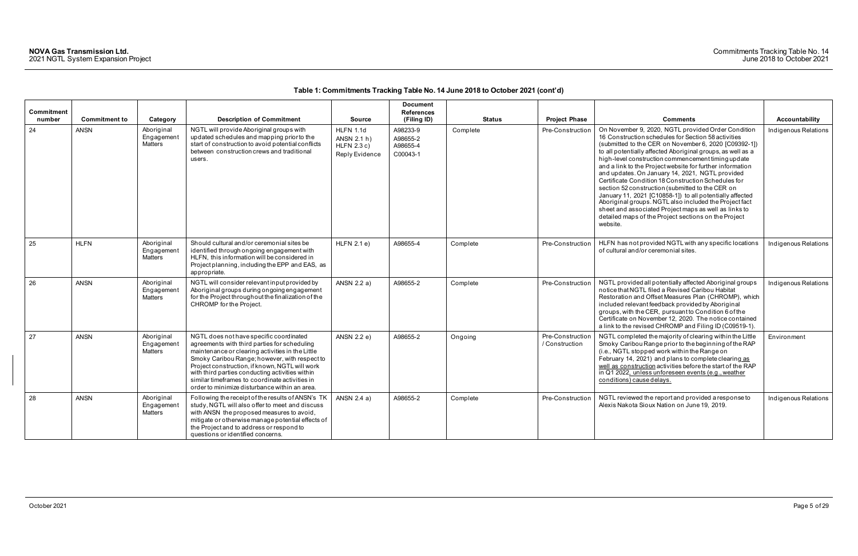| <b>Commitment</b><br>number | <b>Commitment to</b> | Category                                   | <b>Description of Commitment</b>                                                                                                                                                                                                                                                                                                                                                                     | <b>Source</b>                                               | <b>Document</b><br><b>References</b><br>(Filing ID) | <b>Status</b> | <b>Project Phase</b>               | <b>Comments</b>                                                                                                                                                                                                                                                                                                                                                                                                                                                                                                                                                                                                                                                                                                                                                       | <b>Accountability</b> |
|-----------------------------|----------------------|--------------------------------------------|------------------------------------------------------------------------------------------------------------------------------------------------------------------------------------------------------------------------------------------------------------------------------------------------------------------------------------------------------------------------------------------------------|-------------------------------------------------------------|-----------------------------------------------------|---------------|------------------------------------|-----------------------------------------------------------------------------------------------------------------------------------------------------------------------------------------------------------------------------------------------------------------------------------------------------------------------------------------------------------------------------------------------------------------------------------------------------------------------------------------------------------------------------------------------------------------------------------------------------------------------------------------------------------------------------------------------------------------------------------------------------------------------|-----------------------|
| 24                          | <b>ANSN</b>          | Aboriginal<br>Engagement<br><b>Matters</b> | NGTL will provide Aboriginal groups with<br>updated schedules and mapping prior to the<br>start of construction to avoid potential conflicts<br>between construction crews and traditional<br>users.                                                                                                                                                                                                 | HLFN 1.1d<br>ANSN 2.1 h)<br>$HLFN$ 2.3 c)<br>Reply Evidence | A98233-9<br>A98655-2<br>A98655-4<br>C00043-1        | Complete      | Pre-Constructio                    | On November 9, 2020, NGTL provided Order Condition<br>16 Construction schedules for Section 58 activities<br>(submitted to the CER on November 6, 2020 [C09392-1])<br>to all potentially affected Aboriginal groups, as well as a<br>high-level construction commencement timing update<br>and a link to the Project website for further information<br>and updates. On January 14, 2021, NGTL provided<br>Certificate Condition 18 Construction Schedules for<br>section 52 construction (submitted to the CER on<br>January 11, 2021 [C10858-1]) to all potentially affected<br>Aboriginal groups. NGTL also included the Project fact<br>sheet and associated Project maps as well as links to<br>detailed maps of the Project sections on the Project<br>website. | Indigenous Relations  |
| 25                          | <b>HLFN</b>          | Aboriginal<br>Engagement<br>Matters        | Should cultural and/or ceremonial sites be<br>identified through ongoing engagement with<br>HLFN, this information will be considered in<br>Project planning, including the EPP and EAS, as<br>appropriate.                                                                                                                                                                                          | $HLFN$ 2.1 e)                                               | A98655-4                                            | Complete      | Pre-Construction                   | HLFN has not provided NGTL with any specific locations<br>of cultural and/or ceremonial sites.                                                                                                                                                                                                                                                                                                                                                                                                                                                                                                                                                                                                                                                                        | Indigenous Relations  |
| 26                          | <b>ANSN</b>          | Aboriginal<br>Engagement<br>Matters        | NGTL will consider relevant input provided by<br>Aboriginal groups during ongoing engagement<br>for the Project throughout the finalization of the<br>CHROMP for the Project.                                                                                                                                                                                                                        | ANSN 2.2 a)                                                 | A98655-2                                            | Complete      | Pre-Construction                   | NGTL provided all potentially affected Aboriginal groups<br>notice that NGTL filed a Revised Caribou Habitat<br>Restoration and Offset Measures Plan (CHROMP), which<br>included relevant feedback provided by Aboriginal<br>groups, with the CER, pursuant to Condition 6 of the<br>Certificate on November 12, 2020. The notice contained<br>a link to the revised CHROMP and Filing ID (C09519-1).                                                                                                                                                                                                                                                                                                                                                                 | Indigenous Relations  |
| 27                          | <b>ANSN</b>          | Aboriginal<br>Engagement<br><b>Matters</b> | NGTL does not have specific coordinated<br>agreements with third parties for scheduling<br>maintenance or clearing activities in the Little<br>Smoky Caribou Range; however, with respect to<br>Project construction, if known, NGTL will work<br>with third parties conducting activities within<br>similar timeframes to coordinate activities in<br>order to minimize disturbance within an area. | ANSN 2.2 e)                                                 | A98655-2                                            | Ongoing       | Pre-Construction<br>/ Construction | NGTL completed the majority of clearing within the Little<br>Smoky Caribou Range prior to the beginning of the RAP<br>(i.e., NGTL stopped work within the Range on<br>February 14, 2021) and plans to complete clearing as<br>well as construction activities before the start of the RAP<br>in Q1 2022, unless unforeseen events (e.g., weather<br>conditions) cause delays.                                                                                                                                                                                                                                                                                                                                                                                         | Environment           |
| 28                          | <b>ANSN</b>          | Aboriginal<br>Engagement<br><b>Matters</b> | Following the receipt of the results of ANSN's TK<br>study, NGTL will also offer to meet and discuss<br>with ANSN the proposed measures to avoid,<br>mitigate or otherwise manage potential effects of<br>the Project and to address or respond to<br>questions or identified concerns.                                                                                                              | ANSN 2.4 a)                                                 | A98655-2                                            | Complete      | Pre-Construction                   | NGTL reviewed the report and provided a response to<br>Alexis Nakota Sioux Nation on June 19, 2019.                                                                                                                                                                                                                                                                                                                                                                                                                                                                                                                                                                                                                                                                   | Indigenous Relations  |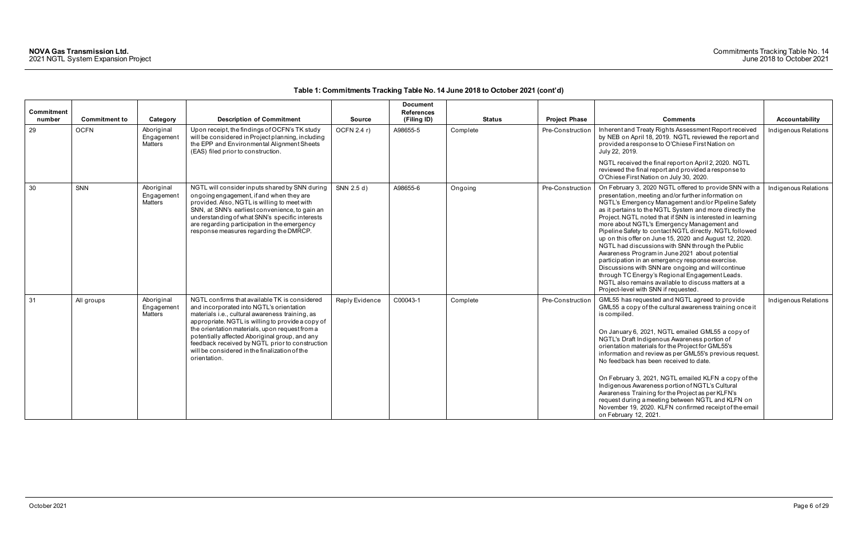| <b>Commitment</b><br>number | <b>Commitment to</b> | Category                            | <b>Description of Commitment</b>                                                                                                                                                                                                                                                                                                                                                                                          | <b>Source</b>  | <b>Document</b><br><b>References</b><br>(Filing ID) | <b>Status</b> | <b>Project Phase</b> | <b>Comments</b>                                                                                                                                                                                                                                                                                                                                                                                                                                                                                                                                                                                                                                                                                                                                                                                                                 | Accountability       |
|-----------------------------|----------------------|-------------------------------------|---------------------------------------------------------------------------------------------------------------------------------------------------------------------------------------------------------------------------------------------------------------------------------------------------------------------------------------------------------------------------------------------------------------------------|----------------|-----------------------------------------------------|---------------|----------------------|---------------------------------------------------------------------------------------------------------------------------------------------------------------------------------------------------------------------------------------------------------------------------------------------------------------------------------------------------------------------------------------------------------------------------------------------------------------------------------------------------------------------------------------------------------------------------------------------------------------------------------------------------------------------------------------------------------------------------------------------------------------------------------------------------------------------------------|----------------------|
| 29                          | <b>OCFN</b>          | Aboriginal<br>Engagement<br>Matters | Upon receipt, the findings of OCFN's TK study<br>will be considered in Project planning, including<br>the EPP and Environmental Alignment Sheets<br>(EAS) filed prior to construction.                                                                                                                                                                                                                                    | OCFN 2.4 r)    | A98655-5                                            | Complete      | Pre-Construction     | Inherent and Treaty Rights Assessment Report received<br>by NEB on April 18, 2019. NGTL reviewed the report and<br>provided a response to O'Chiese First Nation on<br>July 22, 2019.                                                                                                                                                                                                                                                                                                                                                                                                                                                                                                                                                                                                                                            | Indigenous Relations |
|                             |                      |                                     |                                                                                                                                                                                                                                                                                                                                                                                                                           |                |                                                     |               |                      | NGTL received the final report on April 2, 2020. NGTL<br>reviewed the final report and provided a response to<br>O'Chiese First Nation on July 30, 2020.                                                                                                                                                                                                                                                                                                                                                                                                                                                                                                                                                                                                                                                                        |                      |
| 30                          | SNN                  | Aboriginal<br>Engagement<br>Matters | NGTL will consider inputs shared by SNN during<br>ongoing engagement, if and when they are<br>provided. Also, NGTL is willing to meet with<br>SNN, at SNN's earliest convenience, to gain an<br>understanding of what SNN's specific interests<br>are regarding participation in the emergency<br>response measures regarding the DMRCP.                                                                                  | SNN 2.5 d)     | A98655-6                                            | Ongoing       | Pre-Construction     | On February 3, 2020 NGTL offered to provide SNN with a<br>presentation, meeting and/or further information on<br>NGTL's Emergency Management and/or Pipeline Safety<br>as it pertains to the NGTL System and more directly the<br>Project. NGTL noted that if SNN is interested in learning<br>more about NGTL's Emergency Management and<br>Pipeline Safety to contact NGTL directly. NGTL followed<br>up on this offer on June 15, 2020 and August 12, 2020.<br>NGTL had discussions with SNN through the Public<br>Awareness Program in June 2021 about potential<br>participation in an emergency response exercise.<br>Discussions with SNN are ongoing and will continue<br>through TC Energy's Regional Engagement Leads.<br>NGTL also remains available to discuss matters at a<br>Project-level with SNN if requested. | Indigenous Relations |
| 31                          | All groups           | Aboriginal<br>Engagement<br>Matters | NGTL confirms that available TK is considered<br>and incorporated into NGTL's orientation<br>materials i.e., cultural awareness training, as<br>appropriate. NGTL is willing to provide a copy of<br>the orientation materials, upon request from a<br>potentially affected Aboriginal group, and any<br>feedback received by NGTL prior to construction<br>will be considered in the finalization of the<br>orientation. | Reply Evidence | C00043-1                                            | Complete      | Pre-Construction     | GML55 has requested and NGTL agreed to provide<br>GML55 a copy of the cultural awareness training once it<br>is compiled.<br>On January 6, 2021, NGTL emailed GML55 a copy of<br>NGTL's Draft Indigenous Awareness portion of<br>orientation materials for the Project for GML55's<br>information and review as per GML55's previous request.<br>No feedback has been received to date.<br>On February 3, 2021, NGTL emailed KLFN a copy of the<br>Indigenous Awareness portion of NGTL's Cultural<br>Awareness Training for the Project as per KLFN's<br>request during a meeting between NGTL and KLFN on<br>November 19, 2020. KLFN confirmed receipt of the email<br>on February 12, 2021.                                                                                                                                  | Indigenous Relations |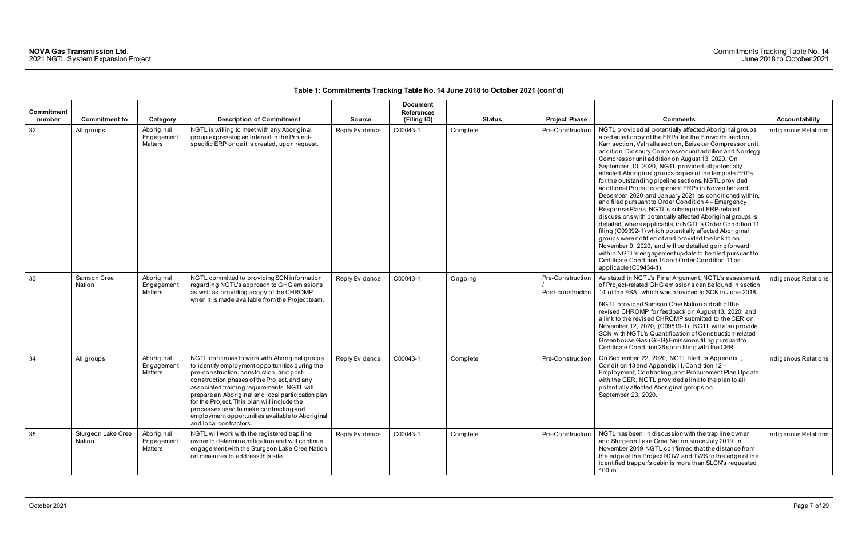| Commitment<br>number | <b>Commitment to</b>         | Category                            | <b>Description of Commitment</b>                                                                                                                                                                                                                                                                                                                                                                                                                                         | <b>Source</b>  | <b>Document</b><br><b>References</b><br>(Filing ID) | <b>Status</b> | <b>Project Phase</b>                  | <b>Comments</b>                                                                                                                                                                                                                                                                                                                                                                                                                                                                                                                                                                                                                                                                                                                                                                                                                                                                                                                                                                                                                                                                                                                         | Accountability       |
|----------------------|------------------------------|-------------------------------------|--------------------------------------------------------------------------------------------------------------------------------------------------------------------------------------------------------------------------------------------------------------------------------------------------------------------------------------------------------------------------------------------------------------------------------------------------------------------------|----------------|-----------------------------------------------------|---------------|---------------------------------------|-----------------------------------------------------------------------------------------------------------------------------------------------------------------------------------------------------------------------------------------------------------------------------------------------------------------------------------------------------------------------------------------------------------------------------------------------------------------------------------------------------------------------------------------------------------------------------------------------------------------------------------------------------------------------------------------------------------------------------------------------------------------------------------------------------------------------------------------------------------------------------------------------------------------------------------------------------------------------------------------------------------------------------------------------------------------------------------------------------------------------------------------|----------------------|
| 32                   | All groups                   | Aboriginal<br>Engagement<br>Matters | NGTL is willing to meet with any Aboriginal<br>group expressing an interest in the Project-<br>specific ERP once it is created, upon request.                                                                                                                                                                                                                                                                                                                            | Reply Evidence | C00043-1                                            | Complete      | Pre-Construction                      | NGTL provided all potentially affected Aboriginal groups<br>a redacted copy of the ERPs for the Elmworth section,<br>Karr section, Valhalla section, Beiseker Compressor unit<br>addition, Didsbury Compressor unit addition and Nordegg<br>Compressor unit addition on August 13, 2020. On<br>September 10, 2020, NGTL provided all potentially<br>affected Aboriginal groups copies of the template ERPs<br>for the outstanding pipeline sections. NGTL provided<br>additional Project component ERPs in November and<br>December 2020 and January 2021 as conditioned within,<br>and filed pursuant to Order Condition 4 - Emergency<br>Response Plans. NGTL's subsequent ERP-related<br>discussions with potentially affected Aboriginal groups is<br>detailed, where applicable, in NGTL's Order Condition 11<br>filing (C09392-1) which potentially affected Aboriginal<br>groups were notified of and provided the link to on<br>November 9, 2020, and will be detailed going forward<br>within NGTL's engagement update to be filed pursuant to<br>Certificate Condition 14 and Order Condition 11 as<br>applicable (C09434-1). | Indigenous Relations |
| 33                   | Samson Cree<br>Nation        | Aboriginal<br>Engagement<br>Matters | NGTL committed to providing SCN information<br>regarding NGTL's approach to GHG emissions<br>as well as providing a copy of the CHROMP<br>when it is made available from the Project team.                                                                                                                                                                                                                                                                               | Reply Evidence | C00043-1                                            | Ongoing       | Pre-Construction<br>Post-construction | As stated in NGTL's Final Argument, NGTL's assessment<br>of Project-related GHG emissions can be found in section<br>14 of the ESA, which was provided to SCN in June 2018.<br>NGTL provided Samson Cree Nation a draft of the<br>revised CHROMP for feedback on August 13, 2020, and<br>a link to the revised CHROMP submitted to the CER on<br>November 12, 2020, (C09519-1). NGTL will also provide<br>SCN with NGTL's Quantification of Construction-related<br>Greenhouse Gas (GHG) Emissions filing pursuant to<br>Certificate Condition 26 upon filing with the CER.                                                                                                                                                                                                                                                                                                                                                                                                                                                                                                                                                             | Indigenous Relations |
| 34                   | All groups                   | Aboriginal<br>Engagement<br>Matters | NGTL continues to work with Aboriginal groups<br>to identify employment opportunities during the<br>pre-construction, construction, and post-<br>construction phases of the Project, and any<br>associated training requirements. NGTL will<br>prepare an Aboriginal and local participation plan<br>for the Project. This plan will include the<br>processes used to make contracting and<br>employment opportunities available to Aboriginal<br>and local contractors. | Reply Evidence | C00043-1                                            | Complete      | Pre-Construction                      | On September 22, 2020, NGTL filed its Appendix I,<br>Condition 13 and Appendix III, Condition 12-<br>Employment, Contracting, and Procurement Plan Update<br>with the CER. NGTL provided a link to the plan to all<br>potentially affected Aboriginal groups on<br>September 23, 2020.                                                                                                                                                                                                                                                                                                                                                                                                                                                                                                                                                                                                                                                                                                                                                                                                                                                  | Indigenous Relations |
| 35                   | Sturgeon Lake Cree<br>Nation | Aboriginal<br>Engagement<br>Matters | NGTL will work with the registered trap line<br>owner to determine mitigation and will continue<br>engagement with the Sturgeon Lake Cree Nation<br>on measures to address this site.                                                                                                                                                                                                                                                                                    | Reply Evidence | C00043-1                                            | Complete      | Pre-Construction                      | NGTL has been in discussion with the trap line owner<br>and Sturgeon Lake Cree Nation since July 2019. In<br>November 2019 NGTL confirmed that the distance from<br>the edge of the Project ROW and TWS to the edge of the<br>identified trapper's cabin is more than SLCN's requested<br>100 m.                                                                                                                                                                                                                                                                                                                                                                                                                                                                                                                                                                                                                                                                                                                                                                                                                                        | Indigenous Relations |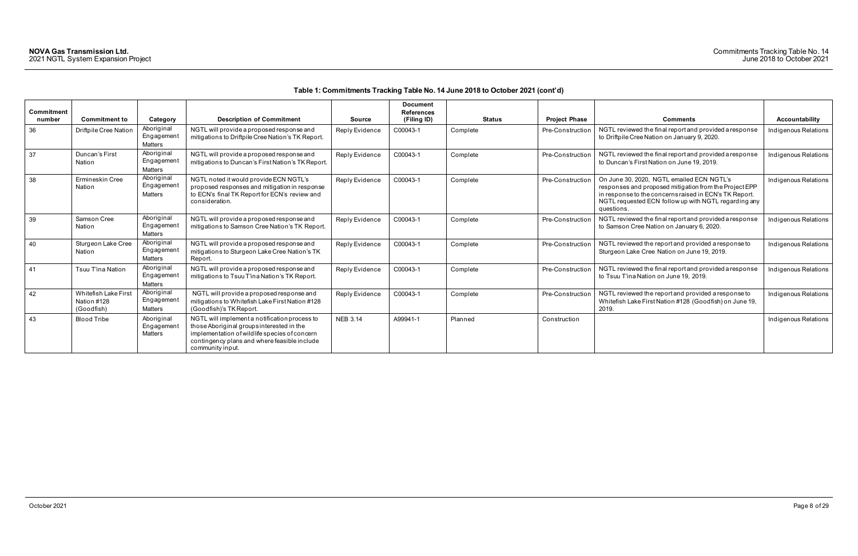| <b>Commitment</b> |                                                          |                                                        |                                                                                                                                                                                                                 |                 | <b>Document</b><br><b>References</b> |               |                      |                                                                                                                                                                                                                                     |                      |
|-------------------|----------------------------------------------------------|--------------------------------------------------------|-----------------------------------------------------------------------------------------------------------------------------------------------------------------------------------------------------------------|-----------------|--------------------------------------|---------------|----------------------|-------------------------------------------------------------------------------------------------------------------------------------------------------------------------------------------------------------------------------------|----------------------|
| number            | <b>Commitment to</b>                                     | Category                                               | <b>Description of Commitment</b>                                                                                                                                                                                | <b>Source</b>   | (Filing ID)                          | <b>Status</b> | <b>Project Phase</b> | <b>Comments</b>                                                                                                                                                                                                                     | Accountability       |
| 36                | Driftpile Cree Nation                                    | Aboriginal<br>Engagemen<br><b>Matters</b>              | NGTL will provide a proposed response and<br>mitigations to Driftpile Cree Nation's TK Report.                                                                                                                  | Reply Evidence  | C00043-1                             | Complete      | Pre-Construction     | NGTL reviewed the final report and provided a response<br>to Driftpile Cree Nation on January 9, 2020.                                                                                                                              | Indigenous Relations |
| 37                | Duncan's First<br>Nation                                 | Aboriginal<br>Engagemen<br><b>Matters</b>              | NGTL will provide a proposed response and<br>mitigations to Duncan's First Nation's TK Report.                                                                                                                  | Reply Evidence  | C00043-1                             | Complete      | Pre-Construction     | NGTL reviewed the final report and provided a response<br>to Duncan's First Nation on June 19, 2019.                                                                                                                                | Indigenous Relations |
| 38                | Ermineskin Cree<br>Nation                                | Aboriginal<br>Engagemen<br>Matters                     | NGTL noted it would provide ECN NGTL's<br>proposed responses and mitigation in response<br>to ECN's final TK Report for ECN's review and<br>consideration.                                                      | Reply Evidence  | C00043-1                             | Complete      | Pre-Construction     | On June 30, 2020, NGTL emailed ECN NGTL's<br>responses and proposed mitigation from the Project EPP<br>in response to the concerns raised in ECN's TK Report.<br>NGTL requested ECN follow up with NGTL regarding any<br>questions. | Indigenous Relations |
| 39                | Samson Cree<br>Nation                                    | Aboriginal<br>Engagemen <sup>®</sup><br><b>Matters</b> | NGTL will provide a proposed response and<br>mitigations to Samson Cree Nation's TK Report.                                                                                                                     | Reply Evidence  | C00043-1                             | Complete      | Pre-Construction     | NGTL reviewed the final report and provided a response<br>to Samson Cree Nation on January 6, 2020.                                                                                                                                 | Indigenous Relations |
| 40                | Sturgeon Lake Cree<br>Nation                             | Aboriginal<br>Engagemen<br><b>Matters</b>              | NGTL will provide a proposed response and<br>mitigations to Sturgeon Lake Cree Nation's TK<br>Report.                                                                                                           | Reply Evidence  | C00043-1                             | Complete      | Pre-Construction     | NGTL reviewed the report and provided a response to<br>Sturgeon Lake Cree Nation on June 19, 2019.                                                                                                                                  | Indigenous Relations |
| 41                | Tsuu T'ina Nation                                        | Aboriginal<br>Engagemen<br><b>Matters</b>              | NGTL will provide a proposed response and<br>mitigations to Tsuu T'ina Nation's TK Report.                                                                                                                      | Reply Evidence  | C00043-1                             | Complete      | Pre-Construction     | NGTL reviewed the final report and provided a response<br>to Tsuu T'ina Nation on June 19, 2019.                                                                                                                                    | Indigenous Relations |
| 42                | <b>Whitefish Lake First</b><br>Nation #128<br>(Goodfish) | Aboriginal<br>Engagement<br><b>Matters</b>             | NGTL will provide a proposed response and<br>mitigations to Whitefish Lake First Nation #128<br>(Goodfish)'s TK Report.                                                                                         | Reply Evidence  | C00043-1                             | Complete      | Pre-Construction     | NGTL reviewed the report and provided a response to<br>Whitefish Lake First Nation #128 (Goodfish) on June 19,<br>2019.                                                                                                             | Indigenous Relations |
| 43                | <b>Blood Tribe</b>                                       | Aboriginal<br>Engagemen<br><b>Matters</b>              | NGTL will implement a notification process to<br>those Aboriginal groups interested in the<br>implementation of wildlife species of concern<br>contingency plans and where feasible include<br>community input. | <b>NEB 3.14</b> | A99941-1                             | Planned       | Construction         |                                                                                                                                                                                                                                     | Indigenous Relations |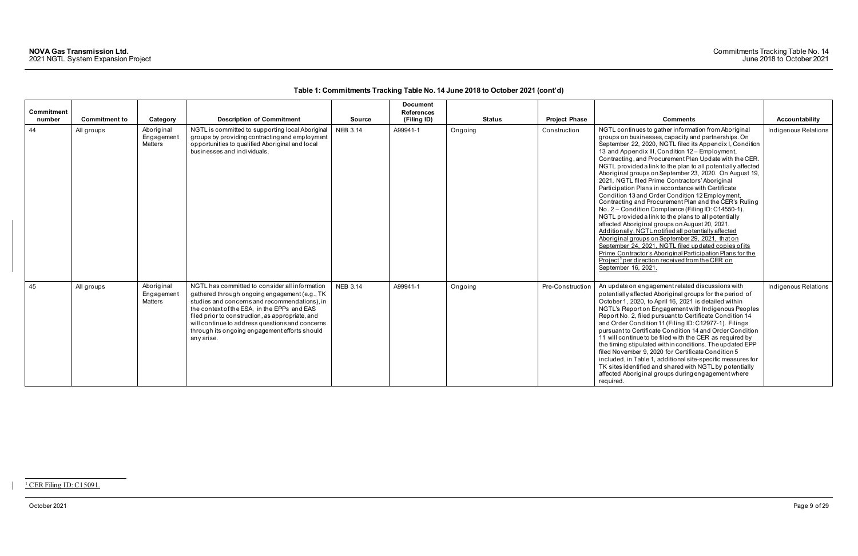October 2021 Page 9 of 29

## <span id="page-9-0"></span>**Table 1: Commitments Tracking Table No. 14 June 2018 to October 2021 (cont'd)**

<sup>1</sup> CER Filing ID: C15091.

|                      |                      |                                            |                                                                                                                                                                                                                                                                                                                                                                       |                 | <b>Document</b>                  |               |                      |                                                                                                                                                                                                                                                                                                                                                                                                                                                                                                                                                                                                                                                                                                                                                                                                                                                                                                                                                                                                                                                                                                                            |                       |
|----------------------|----------------------|--------------------------------------------|-----------------------------------------------------------------------------------------------------------------------------------------------------------------------------------------------------------------------------------------------------------------------------------------------------------------------------------------------------------------------|-----------------|----------------------------------|---------------|----------------------|----------------------------------------------------------------------------------------------------------------------------------------------------------------------------------------------------------------------------------------------------------------------------------------------------------------------------------------------------------------------------------------------------------------------------------------------------------------------------------------------------------------------------------------------------------------------------------------------------------------------------------------------------------------------------------------------------------------------------------------------------------------------------------------------------------------------------------------------------------------------------------------------------------------------------------------------------------------------------------------------------------------------------------------------------------------------------------------------------------------------------|-----------------------|
| Commitment<br>number | <b>Commitment to</b> | Category                                   | <b>Description of Commitment</b>                                                                                                                                                                                                                                                                                                                                      | <b>Source</b>   | <b>References</b><br>(Filing ID) | <b>Status</b> | <b>Project Phase</b> | <b>Comments</b>                                                                                                                                                                                                                                                                                                                                                                                                                                                                                                                                                                                                                                                                                                                                                                                                                                                                                                                                                                                                                                                                                                            | <b>Accountability</b> |
| 44                   | All groups           | Aboriginal<br>Engagement<br><b>Matters</b> | NGTL is committed to supporting local Aboriginal<br>groups by providing contracting and employment<br>opportunities to qualified Aboriginal and local<br>businesses and individuals.                                                                                                                                                                                  | <b>NEB 3.14</b> | A99941-1                         | Ongoing       | Construction         | NGTL continues to gather information from Aboriginal<br>groups on businesses, capacity and partnerships. On<br>September 22, 2020, NGTL filed its Appendix I, Condition<br>13 and Appendix III, Condition 12 - Employment,<br>Contracting, and Procurement Plan Update with the CER.<br>NGTL provided a link to the plan to all potentially affected<br>Aboriginal groups on September 23, 2020. On August 19,<br>2021, NGTL filed Prime Contractors' Aboriginal<br>Participation Plans in accordance with Certificate<br>Condition 13 and Order Condition 12 Employment,<br>Contracting and Procurement Plan and the CER's Ruling<br>No. 2 - Condition Compliance (Filing ID: C14550-1).<br>NGTL provided a link to the plans to all potentially<br>affected Aboriginal groups on August 20, 2021.<br>Additionally, NGTL notified all potentially affected<br>Aboriginal groups on September 29, 2021, that on<br>September 24, 2021, NGTL filed updated copies of its<br>Prime Contractor's Aboriginal Participation Plans for the<br>Project <sup>1</sup> per direction received from the CER on<br>September 16, 2021. | Indigenous Relations  |
| 45                   | All groups           | Aboriginal<br>Engagement<br>Matters        | NGTL has committed to consider all information<br>gathered through ongoing engagement (e.g., TK<br>studies and concerns and recommendations), in<br>the context of the ESA, in the EPPs and EAS<br>filed prior to construction, as appropriate, and<br>will continue to address questions and concerns<br>through its ongoing engagement efforts should<br>any arise. | <b>NEB 3.14</b> | A99941-1                         | Ongoing       | Pre-Construction     | An update on engagement related discussions with<br>potentially affected Aboriginal groups for the period of<br>October 1, 2020, to April 16, 2021 is detailed within<br>NGTL's Report on Engagement with Indigenous Peoples<br>Report No. 2, filed pursuant to Certificate Condition 14<br>and Order Condition 11 (Filing ID: C12977-1). Filings<br>pursuant to Certificate Condition 14 and Order Condition<br>11 will continue to be filed with the CER as required by<br>the timing stipulated within conditions. The updated EPP<br>filed November 9, 2020 for Certificate Condition 5<br>included, in Table 1, additional site-specific measures for<br>TK sites identified and shared with NGTL by potentially<br>affected Aboriginal groups during engagement where<br>required.                                                                                                                                                                                                                                                                                                                                   | Indigenous Relations  |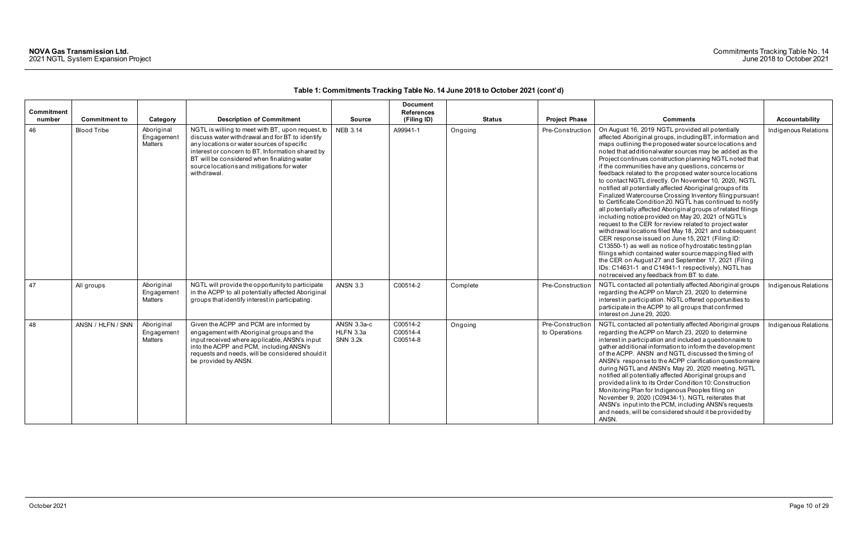| Commitment<br>number | <b>Commitment to</b> | Category                            | <b>Description of Commitment</b>                                                                                                                                                                                                                                                                                   | <b>Source</b>                               | <b>Document</b><br><b>References</b><br>(Filing ID) | <b>Status</b> | <b>Project Phase</b>              | <b>Comments</b>                                                                                                                                                                                                                                                                                                                                                                                                                                                                                                                                                                                                                                                                                                                                                                                                                                                                                                                                                                                                                                                                                                                                                                                                                                | Accountability       |
|----------------------|----------------------|-------------------------------------|--------------------------------------------------------------------------------------------------------------------------------------------------------------------------------------------------------------------------------------------------------------------------------------------------------------------|---------------------------------------------|-----------------------------------------------------|---------------|-----------------------------------|------------------------------------------------------------------------------------------------------------------------------------------------------------------------------------------------------------------------------------------------------------------------------------------------------------------------------------------------------------------------------------------------------------------------------------------------------------------------------------------------------------------------------------------------------------------------------------------------------------------------------------------------------------------------------------------------------------------------------------------------------------------------------------------------------------------------------------------------------------------------------------------------------------------------------------------------------------------------------------------------------------------------------------------------------------------------------------------------------------------------------------------------------------------------------------------------------------------------------------------------|----------------------|
| 46                   | <b>Blood Tribe</b>   | Aboriginal<br>Engagement<br>Matters | NGTL is willing to meet with BT, upon request, to<br>discuss water withdrawal and for BT to identify<br>any locations or water sources of specific<br>interest or concern to BT. Information shared by<br>BT will be considered when finalizing water<br>source locations and mitigations for water<br>withdrawal. | <b>NEB 3.14</b>                             | A99941-1                                            | Ongoing       | Pre-Construction                  | On August 16, 2019 NGTL provided all potentially<br>affected Aboriginal groups, including BT, information and<br>maps outlining the proposed water source locations and<br>noted that additional water sources may be added as the<br>Project continues construction planning NGTL noted that<br>if the communities have any questions, concerns or<br>feedback related to the proposed water source locations<br>to contact NGTL directly. On November 10, 2020, NGTL<br>notified all potentially affected Aboriginal groups of its<br>Finalized Watercourse Crossing Inventory filing pursuant<br>to Certificate Condition 20. NGTL has continued to notify<br>all potentially affected Aboriginal groups of related filings<br>including notice provided on May 20, 2021 of NGTL's<br>request to the CER for review related to project water<br>withdrawal locations filed May 18, 2021 and subsequent<br>CER response issued on June 15, 2021 (Filing ID:<br>C13550-1) as well as notice of hydrostatic testing plan<br>filings which contained water source mapping filed with<br>the CER on August 27 and September 17, 2021 (Filing<br>IDs: C14631-1 and C14941-1 respectively). NGTL has<br>not received any feedback from BT to date. | Indigenous Relations |
| 47                   | All groups           | Aboriginal<br>Engagement<br>Matters | NGTL will provide the opportunity to participate<br>in the ACPP to all potentially affected Aboriginal<br>groups that identify interest in participating.                                                                                                                                                          | <b>ANSN 3.3</b>                             | C00514-2                                            | Complete      | Pre-Construction                  | NGTL contacted all potentially affected Aboriginal groups<br>regarding the ACPP on March 23, 2020 to determine<br>interest in participation. NGTL offered opportunities to<br>participate in the ACPP to all groups that confirmed<br>interest on June 29, 2020.                                                                                                                                                                                                                                                                                                                                                                                                                                                                                                                                                                                                                                                                                                                                                                                                                                                                                                                                                                               | Indigenous Relations |
| 48                   | ANSN / HLFN / SNN    | Aboriginal<br>Engagement<br>Matters | Given the ACPP and PCM are informed by<br>engagement with Aboriginal groups and the<br>input received where applicable, ANSN's input<br>into the ACPP and PCM, including ANSN's<br>requests and needs, will be considered should it<br>be provided by ANSN.                                                        | ANSN 3.3a-c<br>HLFN 3.3a<br><b>SNN 3.2k</b> | C00514-2<br>C00514-4<br>C00514-8                    | Ongoing       | Pre-Construction<br>to Operations | NGTL contacted all potentially affected Aboriginal groups<br>regarding the ACPP on March 23, 2020 to determine<br>interest in participation and included a questionnaire to<br>gather additional information to inform the development<br>of the ACPP. ANSN and NGTL discussed the timing of<br>ANSN's response to the ACPP clarification questionnaire<br>during NGTL and ANSN's May 20, 2020 meeting. NGTL<br>notified all potentially affected Aboriginal groups and<br>provided a link to its Order Condition 10: Construction<br>Monitoring Plan for Indigenous Peoples filing on<br>November 9, 2020 (C09434-1). NGTL reiterates that<br>ANSN's input into the PCM, including ANSN's requests<br>and needs, will be considered should it be provided by<br>ANSN.                                                                                                                                                                                                                                                                                                                                                                                                                                                                         | Indigenous Relations |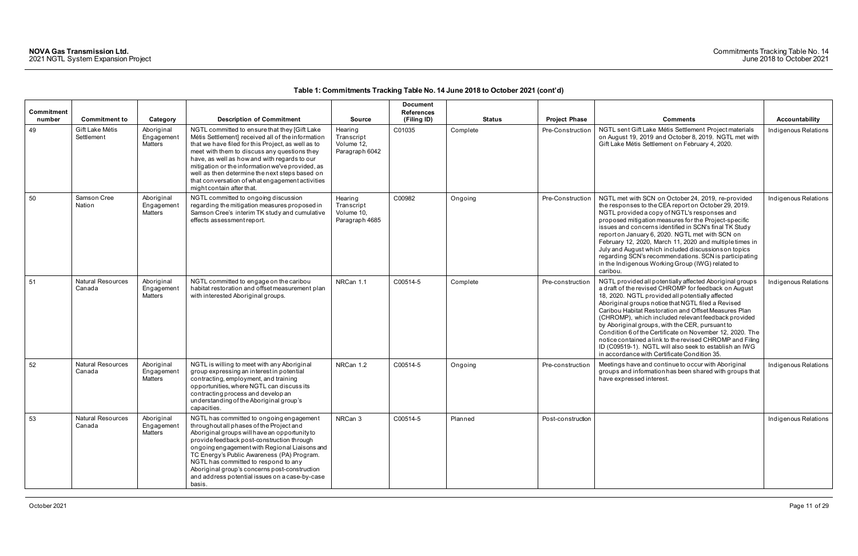| Commitment<br>number | <b>Commitment to</b>               | Category                                   | <b>Description of Commitment</b>                                                                                                                                                                                                                                                                                                                                                                                                               | <b>Source</b>                                         | <b>Document</b><br><b>References</b><br>(Filing ID) | <b>Status</b> | <b>Project Phase</b> | <b>Comments</b>                                                                                                                                                                                                                                                                                                                                                                                                                                                                                                                                                                                                                | Accountability       |
|----------------------|------------------------------------|--------------------------------------------|------------------------------------------------------------------------------------------------------------------------------------------------------------------------------------------------------------------------------------------------------------------------------------------------------------------------------------------------------------------------------------------------------------------------------------------------|-------------------------------------------------------|-----------------------------------------------------|---------------|----------------------|--------------------------------------------------------------------------------------------------------------------------------------------------------------------------------------------------------------------------------------------------------------------------------------------------------------------------------------------------------------------------------------------------------------------------------------------------------------------------------------------------------------------------------------------------------------------------------------------------------------------------------|----------------------|
| 49                   | Gift Lake Métis<br>Settlement      | Aboriginal<br>Engagement<br>Matters        | NGTL committed to ensure that they [Gift Lake<br>Métis Settlement] received all of the information<br>that we have filed for this Project, as well as to<br>meet with them to discuss any questions they<br>have, as well as how and with regards to our<br>mitigation or the information we've provided, as<br>well as then determine the next steps based on<br>that conversation of what engagement activities<br>might contain after that. | Hearing<br>Transcript<br>Volume 12,<br>Paragraph 6042 | C01035                                              | Complete      | Pre-Construction     | NGTL sent Gift Lake Métis Settlement Project materials<br>on August 19, 2019 and October 8, 2019. NGTL met with<br>Gift Lake Métis Settlement on February 4, 2020.                                                                                                                                                                                                                                                                                                                                                                                                                                                             | Indigenous Relations |
| 50                   | Samson Cree<br>Nation              | Aboriginal<br>Engagement<br>Matters        | NGTL committed to ongoing discussion<br>regarding the mitigation measures proposed in<br>Samson Cree's interim TK study and cumulative<br>effects assessment report.                                                                                                                                                                                                                                                                           | Hearing<br>Transcript<br>Volume 10,<br>Paragraph 4685 | C00982                                              | Ongoing       | Pre-Construction     | NGTL met with SCN on October 24, 2019, re-provided<br>the responses to the CEA report on October 29, 2019.<br>NGTL provided a copy of NGTL's responses and<br>proposed mitigation measures for the Project-specific<br>issues and concerns identified in SCN's final TK Study<br>report on January 6, 2020. NGTL met with SCN on<br>February 12, 2020, March 11, 2020 and multiple times in<br>July and August which included discussions on topics<br>regarding SCN's recommendations. SCN is participating<br>in the Indigenous Working Group (IWG) related to<br>caribou.                                                   | Indigenous Relations |
| 51                   | <b>Natural Resources</b><br>Canada | Aboriginal<br>Engagement<br><b>Matters</b> | NGTL committed to engage on the caribou<br>habitat restoration and offset measurement plan<br>with interested Aboriginal groups.                                                                                                                                                                                                                                                                                                               | NRCan 1.1                                             | C00514-5                                            | Complete      | Pre-construction     | NGTL provided all potentially affected Aboriginal groups<br>a draft of the revised CHROMP for feedback on August<br>18, 2020. NGTL provided all potentially affected<br>Aboriginal groups notice that NGTL filed a Revised<br>Caribou Habitat Restoration and Offset Measures Plan<br>(CHROMP), which included relevant feedback provided<br>by Aboriginal groups, with the CER, pursuant to<br>Condition 6 of the Certificate on November 12, 2020. The<br>notice contained a link to the revised CHROMP and Filing<br>ID (C09519-1). NGTL will also seek to establish an IWG<br>in accordance with Certificate Condition 35. | Indigenous Relations |
| 52                   | <b>Natural Resources</b><br>Canada | Aboriginal<br>Engagement<br>Matters        | NGTL is willing to meet with any Aboriginal<br>group expressing an interest in potential<br>contracting, employment, and training<br>opportunities, where NGTL can discuss its<br>contracting process and develop an<br>understanding of the Aboriginal group's<br>capacities.                                                                                                                                                                 | NRCan 1.2                                             | C00514-5                                            | Ongoing       | Pre-construction     | Meetings have and continue to occur with Aboriginal<br>groups and information has been shared with groups that<br>have expressed interest.                                                                                                                                                                                                                                                                                                                                                                                                                                                                                     | Indigenous Relations |
| 53                   | <b>Natural Resources</b><br>Canada | Aboriginal<br>Engagement<br>Matters        | NGTL has committed to ongoing engagement<br>throughout all phases of the Project and<br>Aboriginal groups will have an opportunity to<br>provide feedback post-construction through<br>ongoing engagement with Regional Liaisons and<br>TC Energy's Public Awareness (PA) Program.<br>NGTL has committed to respond to any<br>Aboriginal group's concerns post-construction<br>and address potential issues on a case-by-case<br>basis.        | NRCan 3                                               | C00514-5                                            | Planned       | Post-construction    |                                                                                                                                                                                                                                                                                                                                                                                                                                                                                                                                                                                                                                | Indigenous Relations |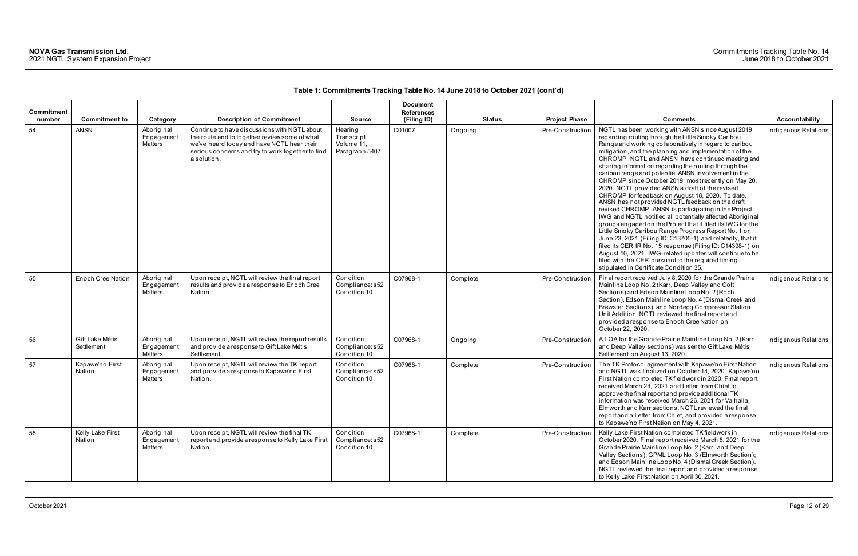| Commitment<br>number | <b>Commitment to</b>          | Category                            | <b>Description of Commitment</b>                                                                                                                                                                                | <b>Source</b>                                         | <b>Document</b><br><b>References</b><br>(Filing ID) | <b>Status</b> | <b>Project Phase</b> | <b>Comments</b>                                                                                                                                                                                                                                                                                                                                                                                                                                                                                                                                                                                                                                                                                                                                                                                                                                                                                                                                                                                                                                                                                                                                      | <b>Accountability</b> |
|----------------------|-------------------------------|-------------------------------------|-----------------------------------------------------------------------------------------------------------------------------------------------------------------------------------------------------------------|-------------------------------------------------------|-----------------------------------------------------|---------------|----------------------|------------------------------------------------------------------------------------------------------------------------------------------------------------------------------------------------------------------------------------------------------------------------------------------------------------------------------------------------------------------------------------------------------------------------------------------------------------------------------------------------------------------------------------------------------------------------------------------------------------------------------------------------------------------------------------------------------------------------------------------------------------------------------------------------------------------------------------------------------------------------------------------------------------------------------------------------------------------------------------------------------------------------------------------------------------------------------------------------------------------------------------------------------|-----------------------|
| 54                   | <b>ANSN</b>                   | Aboriginal<br>Engagement<br>Matters | Continue to have discussions with NGTL about<br>the route and to together review some of what<br>we've heard today and have NGTL hear their<br>serious concerns and try to work together to find<br>a solution. | Hearing<br>Transcript<br>Volume 11,<br>Paragraph 5407 | C01007                                              | Ongoing       | Pre-Construction     | NGTL has been working with ANSN since August 2019<br>regarding routing through the Little Smoky Caribou<br>Range and working collaboratively in regard to caribou<br>mitigation, and the planning and implementation of the<br>CHROMP. NGTL and ANSN have continued meeting and<br>sharing information regarding the routing through the<br>caribou range and potential ANSN involvement in the<br>CHROMP since October 2019, most recently on May 20,<br>2020. NGTL provided ANSN a draft of the revised<br>CHROMP for feedback on August 18, 2020. To date,<br>ANSN has not provided NGTL feedback on the draft<br>revised CHROMP. ANSN is participating in the Project<br>IWG and NGTL notified all potentially affected Aboriginal<br>groups engaged on the Project that it filed its IWG for the<br>Little Smoky Caribou Range Progress Report No. 1 on<br>June 23, 2021 (Filing ID: C13705-1) and relatedly, that it<br>filed its CER IR No. 15 response (Filing ID: C14398-1) on<br>August 10, 2021. IWG-related updates will continue to be<br>filed with the CER pursuant to the required timing<br>stipulated in Certificate Condition 35. | Indigenous Relations  |
| 55                   | Enoch Cree Nation             | Aboriginal<br>Engagement<br>Matters | Upon receipt, NGTL will review the final report<br>results and provide a response to Enoch Cree<br>Nation.                                                                                                      | Condition<br>Compliance: s52<br>Condition 10          | C07968-1                                            | Complete      | Pre-Construction     | Final report received July 8, 2020 for the Grande Prairie<br>Mainline Loop No. 2 (Karr, Deep Valley and Colt<br>Sections) and Edson Mainline Loop No. 2 (Robb<br>Section), Edson Mainline Loop No. 4 (Dismal Creek and<br>Brewster Sections), and Nordegg Compressor Station<br>Unit Addition. NGTL reviewed the final report and<br>provided a response to Enoch Cree Nation on<br>October 22, 2020.                                                                                                                                                                                                                                                                                                                                                                                                                                                                                                                                                                                                                                                                                                                                                | Indigenous Relations  |
| 56                   | Gift Lake Métis<br>Settlement | Aboriginal<br>Engagement<br>Matters | Upon receipt, NGTL will review the report results<br>and provide a response to Gift Lake Métis<br>Settlement.                                                                                                   | Condition<br>Compliance: s52<br>Condition 10          | C07968-1                                            | Ongoing       | Pre-Construction     | A LOA for the Grande Prairie Mainline Loop No. 2 (Karr<br>and Deep Valley sections) was sent to Gift Lake Métis<br>Settlement on August 13, 2020.                                                                                                                                                                                                                                                                                                                                                                                                                                                                                                                                                                                                                                                                                                                                                                                                                                                                                                                                                                                                    | Indigenous Relations  |
| 57                   | Kapawe'no First<br>Nation     | Aboriginal<br>Engagement<br>Matters | Upon receipt, NGTL will review the TK report<br>and provide a response to Kapawe'no First<br>Nation.                                                                                                            | Condition<br>Compliance: s52<br>Condition 10          | C07968-1                                            | Complete      | Pre-Construction     | The TK Protocol agreement with Kapawe'no First Nation<br>and NGTL was finalized on October 14, 2020. Kapawe'no<br>First Nation completed TK fieldwork in 2020. Final report<br>received March 24, 2021 and Letter from Chief to<br>approve the final report and provide additional TK<br>information was received March 26, 2021 for Valhalla,<br>Elmworth and Karr sections. NGTL reviewed the final<br>report and a Letter from Chief, and provided a response<br>to Kapawe'no First Nation on May 4, 2021.                                                                                                                                                                                                                                                                                                                                                                                                                                                                                                                                                                                                                                        | Indigenous Relations  |
| 58                   | Kelly Lake First<br>Nation    | Aboriginal<br>Engagement<br>Matters | Upon receipt, NGTL will review the final TK<br>report and provide a response to Kelly Lake First<br>Nation.                                                                                                     | Condition<br>Compliance: s52<br>Condition 10          | C07968-1                                            | Complete      | Pre-Construction     | Kelly Lake First Nation completed TK fieldwork in<br>October 2020. Final report received March 8, 2021 for the<br>Grande Prairie Mainline Loop No. 2 (Karr, and Deep<br>Valley Sections); GPML Loop No. 3 (Elmworth Section);<br>and Edson Mainline Loop No. 4 (Dismal Creek Section).<br>NGTL reviewed the final report and provided a response<br>to Kelly Lake First Nation on April 30, 2021.                                                                                                                                                                                                                                                                                                                                                                                                                                                                                                                                                                                                                                                                                                                                                    | Indigenous Relations  |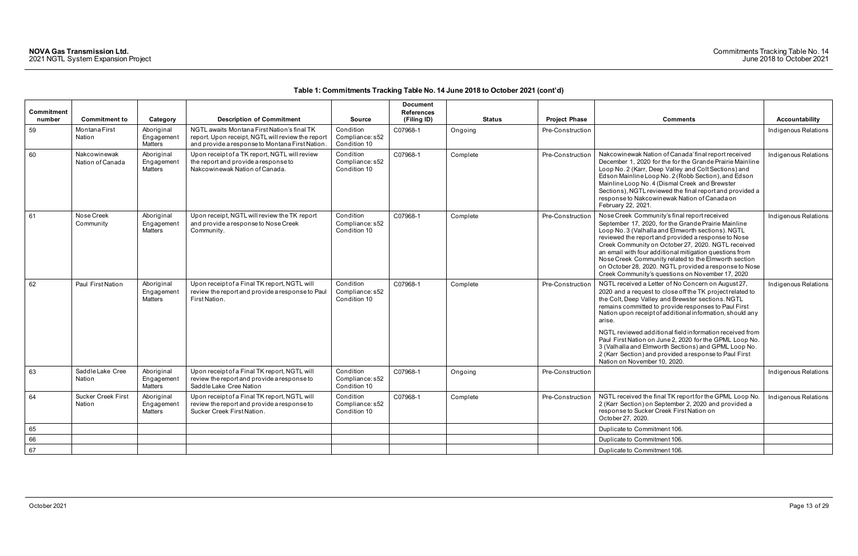| Commitment |                                     |                                            |                                                                                                                                                     |                                              | <b>Document</b><br><b>References</b> |               |                      |                                                                                                                                                                                                                                                                                                                                                                                                                                                                                                                                                                              |                       |
|------------|-------------------------------------|--------------------------------------------|-----------------------------------------------------------------------------------------------------------------------------------------------------|----------------------------------------------|--------------------------------------|---------------|----------------------|------------------------------------------------------------------------------------------------------------------------------------------------------------------------------------------------------------------------------------------------------------------------------------------------------------------------------------------------------------------------------------------------------------------------------------------------------------------------------------------------------------------------------------------------------------------------------|-----------------------|
| number     | <b>Commitment to</b>                | Category                                   | <b>Description of Commitment</b>                                                                                                                    | <b>Source</b>                                | (Filing ID)                          | <b>Status</b> | <b>Project Phase</b> | <b>Comments</b>                                                                                                                                                                                                                                                                                                                                                                                                                                                                                                                                                              | <b>Accountability</b> |
| 59         | Montana First<br>Nation             | Aboriginal<br>Engagement<br><b>Matters</b> | NGTL awaits Montana First Nation's final TK<br>report. Upon receipt, NGTL will review the report<br>and provide a response to Montana First Nation. | Condition<br>Compliance: s52<br>Condition 10 | C07968-1                             | Ongoing       | Pre-Construction     |                                                                                                                                                                                                                                                                                                                                                                                                                                                                                                                                                                              | Indigenous Relations  |
| 60         | Nakcowinewak<br>Nation of Canada    | Aboriginal<br>Engagement<br>Matters        | Upon receipt of a TK report, NGTL will review<br>the report and provide a response to<br>Nakcowinewak Nation of Canada.                             | Condition<br>Compliance: s52<br>Condition 10 | C07968-1                             | Complete      | Pre-Construction     | Nakcowinewak Nation of Canada' final report received<br>December 1, 2020 for the for the Grande Prairie Mainline<br>Loop No. 2 (Karr, Deep Valley and Colt Sections) and<br>Edson Mainline Loop No. 2 (Robb Section), and Edson<br>Mainline Loop No. 4 (Dismal Creek and Brewster<br>Sections), NGTL reviewed the final report and provided a<br>response to Nakcowinewak Nation of Canada on<br>February 22, 2021.                                                                                                                                                          | Indigenous Relations  |
| 61         | Nose Creek<br>Community             | Aboriginal<br>Engagement<br><b>Matters</b> | Upon receipt, NGTL will review the TK report<br>and provide a response to Nose Creek<br>Community.                                                  | Condition<br>Compliance: s52<br>Condition 10 | C07968-1                             | Complete      | Pre-Construction     | Nose Creek Community's final report received<br>September 17, 2020, for the Grande Prairie Mainline<br>Loop No. 3 (Valhalla and Elmworth sections). NGTL<br>reviewed the report and provided a response to Nose<br>Creek Community on October 27, 2020. NGTL received<br>an email with four additional mitigation questions from<br>Nose Creek Community related to the Elmworth section<br>on October 28, 2020. NGTL provided a response to Nose<br>Creek Community's questions on November 17, 2020                                                                        | Indigenous Relations  |
| 62         | Paul First Nation                   | Aboriginal<br>Engagement<br>Matters        | Upon receipt of a Final TK report, NGTL will<br>review the report and provide a response to Paul<br>First Nation.                                   | Condition<br>Compliance: s52<br>Condition 10 | C07968-1                             | Complete      | Pre-Construction     | NGTL received a Letter of No Concern on August 27,<br>2020 and a request to close off the TK project related to<br>the Colt, Deep Valley and Brewster sections. NGTL<br>remains committed to provide responses to Paul First<br>Nation upon receipt of additional information, should any<br>arise.<br>NGTL reviewed additional field information received from<br>Paul First Nation on June 2, 2020 for the GPML Loop No.<br>3 (Valhalla and Elmworth Sections) and GPML Loop No.<br>2 (Karr Section) and provided a response to Paul First<br>Nation on November 10, 2020. | Indigenous Relations  |
| 63         | Saddle Lake Cree<br>Nation          | Aboriginal<br>Engagement<br>Matters        | Upon receipt of a Final TK report, NGTL will<br>review the report and provide a response to<br>Saddle Lake Cree Nation                              | Condition<br>Compliance: s52<br>Condition 10 | C07968-1                             | Ongoing       | Pre-Construction     |                                                                                                                                                                                                                                                                                                                                                                                                                                                                                                                                                                              | Indigenous Relations  |
| 64         | <b>Sucker Creek First</b><br>Nation | Aboriginal<br>Engagement<br>Matters        | Upon receipt of a Final TK report, NGTL will<br>review the report and provide a response to<br>Sucker Creek First Nation.                           | Condition<br>Compliance: s52<br>Condition 10 | C07968-1                             | Complete      | Pre-Construction     | NGTL received the final TK report for the GPML Loop No.<br>2 (Karr Section) on September 2, 2020 and provided a<br>response to Sucker Creek First Nation on<br>October 27, 2020.                                                                                                                                                                                                                                                                                                                                                                                             | Indigenous Relations  |
| 65         |                                     |                                            |                                                                                                                                                     |                                              |                                      |               |                      | Duplicate to Commitment 106.                                                                                                                                                                                                                                                                                                                                                                                                                                                                                                                                                 |                       |
| 66         |                                     |                                            |                                                                                                                                                     |                                              |                                      |               |                      | Duplicate to Commitment 106.                                                                                                                                                                                                                                                                                                                                                                                                                                                                                                                                                 |                       |
| 67         |                                     |                                            |                                                                                                                                                     |                                              |                                      |               |                      | Duplicate to Commitment 106.                                                                                                                                                                                                                                                                                                                                                                                                                                                                                                                                                 |                       |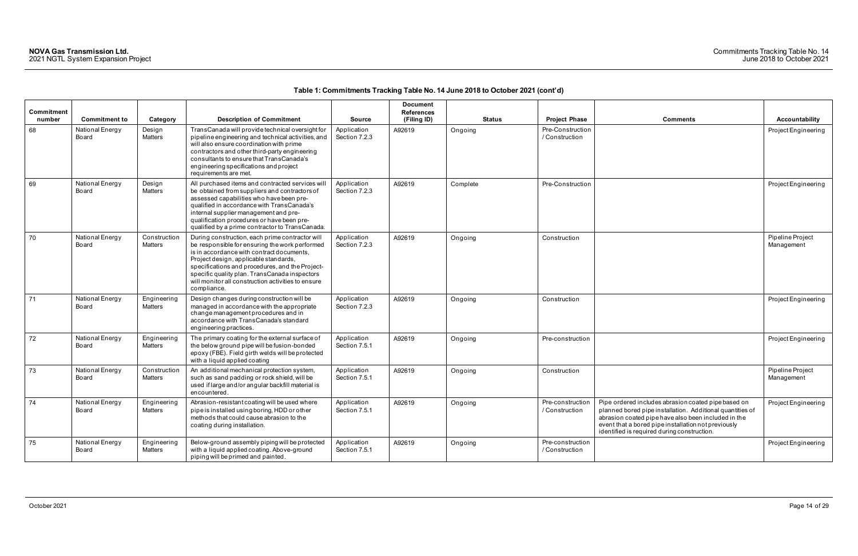| <b>Commitment</b><br>number | <b>Commitment to</b>     | Category                       | <b>Description of Commitment</b>                                                                                                                                                                                                                                                                                                                                 | <b>Source</b>                | <b>Document</b><br><b>References</b><br>(Filing ID) | <b>Status</b> | <b>Project Phase</b>               | <b>Comments</b>                                                                                                                                                                                                                                                               | <b>Accountability</b>          |
|-----------------------------|--------------------------|--------------------------------|------------------------------------------------------------------------------------------------------------------------------------------------------------------------------------------------------------------------------------------------------------------------------------------------------------------------------------------------------------------|------------------------------|-----------------------------------------------------|---------------|------------------------------------|-------------------------------------------------------------------------------------------------------------------------------------------------------------------------------------------------------------------------------------------------------------------------------|--------------------------------|
| 68                          | National Energy<br>Board | Design<br>Matters              | TransCanada will provide technical oversight for<br>pipeline engineering and technical activities, and<br>will also ensure coordination with prime<br>contractors and other third-party engineering<br>consultants to ensure that TransCanada's<br>engineering specifications and project<br>requirements are met.                                               | Application<br>Section 7.2.3 | A92619                                              | Ongoing       | Pre-Construction<br>/ Construction |                                                                                                                                                                                                                                                                               | Project Engineering            |
| 69                          | National Energy<br>Board | Design<br><b>Matters</b>       | All purchased items and contracted services will<br>be obtained from suppliers and contractors of<br>assessed capabilities who have been pre-<br>qualified in accordance with TransCanada's<br>internal supplier management and pre-<br>qualification procedures or have been pre-<br>qualified by a prime contractor to TransCanada.                            | Application<br>Section 7.2.3 | A92619                                              | Complete      | Pre-Construction                   |                                                                                                                                                                                                                                                                               | Project Engineering            |
| 70                          | National Energy<br>Board | Construction<br>Matters        | During construction, each prime contractor will<br>be responsible for ensuring the work performed<br>is in accordance with contract documents,<br>Project design, applicable standards,<br>specifications and procedures, and the Project-<br>specific quality plan. TransCanada inspectors<br>will monitor all construction activities to ensure<br>compliance. | Application<br>Section 7.2.3 | A92619                                              | Ongoing       | Construction                       |                                                                                                                                                                                                                                                                               | Pipeline Project<br>Management |
| 71                          | National Energy<br>Board | Engineering<br>Matters         | Design changes during construction will be<br>managed in accordance with the appropriate<br>change management procedures and in<br>accordance with TransCanada's standard<br>engineering practices.                                                                                                                                                              | Application<br>Section 7.2.3 | A92619                                              | Ongoing       | Construction                       |                                                                                                                                                                                                                                                                               | Project Engineering            |
| 72                          | National Energy<br>Board | Engineering<br><b>Matters</b>  | The primary coating for the external surface of<br>the below ground pipe will be fusion-bonded<br>epoxy (FBE). Field girth welds will be protected<br>with a liquid applied coating                                                                                                                                                                              | Application<br>Section 7.5.1 | A92619                                              | Ongoing       | Pre-construction                   |                                                                                                                                                                                                                                                                               | Project Engineering            |
| 73                          | National Energy<br>Board | Construction<br><b>Matters</b> | An additional mechanical protection system,<br>such as sand padding or rock shield, will be<br>used if large and/or angular backfill material is<br>encountered.                                                                                                                                                                                                 | Application<br>Section 7.5.1 | A92619                                              | Ongoing       | Construction                       |                                                                                                                                                                                                                                                                               | Pipeline Project<br>Management |
| 74                          | National Energy<br>Board | Engineering<br><b>Matters</b>  | Abrasion-resistant coating will be used where<br>pipe is installed using boring, HDD or other<br>methods that could cause abrasion to the<br>coating during installation.                                                                                                                                                                                        | Application<br>Section 7.5.1 | A92619                                              | Ongoing       | Pre-construction<br>/ Construction | Pipe ordered includes abrasion coated pipe based on<br>planned bored pipe installation. Additional quantities of<br>abrasion coated pipe have also been included in the<br>event that a bored pipe installation not previously<br>identified is required during construction. | Project Engineering            |
| 75                          | National Energy<br>Board | Engineering<br>Matters         | Below-ground assembly piping will be protected<br>with a liquid applied coating. Above-ground<br>piping will be primed and painted.                                                                                                                                                                                                                              | Application<br>Section 7.5.1 | A92619                                              | Ongoing       | Pre-construction<br>/ Construction |                                                                                                                                                                                                                                                                               | Project Engineering            |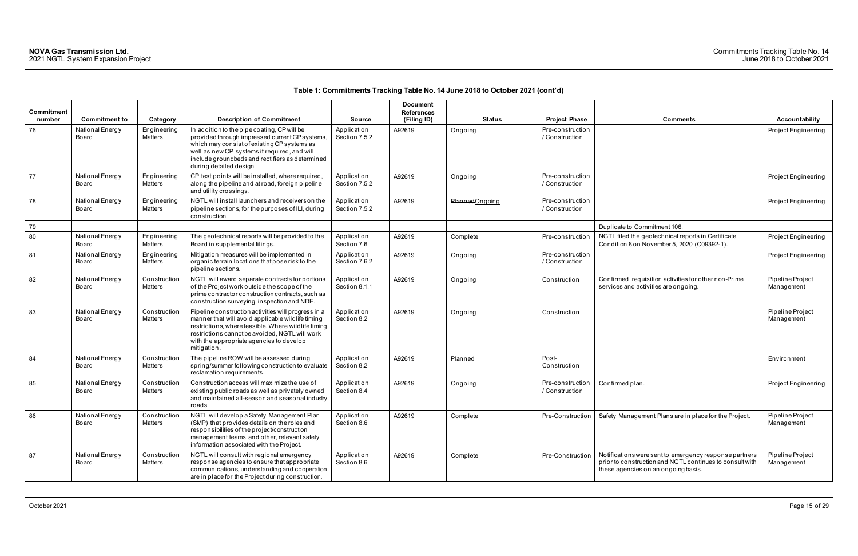| <b>Commitment</b> |                                 |                               |                                                                                                                                                                                                                                                                              |                              | <b>Document</b><br><b>References</b> |                 |                                    |                                                                                                                                                           |                                |
|-------------------|---------------------------------|-------------------------------|------------------------------------------------------------------------------------------------------------------------------------------------------------------------------------------------------------------------------------------------------------------------------|------------------------------|--------------------------------------|-----------------|------------------------------------|-----------------------------------------------------------------------------------------------------------------------------------------------------------|--------------------------------|
| number            | <b>Commitment to</b>            | Category                      | <b>Description of Commitment</b>                                                                                                                                                                                                                                             | <b>Source</b>                | (Filing ID)                          | <b>Status</b>   | <b>Project Phase</b>               | <b>Comments</b>                                                                                                                                           | Accountability                 |
| 76                | National Energy<br>Board        | Engineering<br>Matters        | In addition to the pipe coating, CP will be<br>provided through impressed current CP systems,<br>which may consist of existing CP systems as<br>well as new CP systems if required, and will<br>include groundbeds and rectifiers as determined<br>during detailed design.   | Application<br>Section 7.5.2 | A92619                               | Ongoing         | Pre-construction<br>/ Construction |                                                                                                                                                           | Project Engineering            |
| 77                | National Energy<br>Board        | Engineering<br><b>Matters</b> | CP test points will be installed, where required,<br>along the pipeline and at road, foreign pipeline<br>and utility crossings.                                                                                                                                              | Application<br>Section 7.5.2 | A92619                               | Ongoing         | Pre-construction<br>/ Construction |                                                                                                                                                           | Project Engineering            |
| 78                | National Energy<br>Board        | Engineering<br>Matters        | NGTL will install launchers and receivers on the<br>pipeline sections, for the purposes of ILI, during<br>construction                                                                                                                                                       | Application<br>Section 7.5.2 | A92619                               | Planned Ongoing | Pre-construction<br>/ Construction |                                                                                                                                                           | Project Engineering            |
| 79                |                                 |                               |                                                                                                                                                                                                                                                                              |                              |                                      |                 |                                    | Duplicate to Commitment 106.                                                                                                                              |                                |
| 80                | National Energy<br>Board        | Engineering<br><b>Matters</b> | The geotechnical reports will be provided to the<br>Board in supplemental filings.                                                                                                                                                                                           | Application<br>Section 7.6   | A92619                               | Complete        | Pre-construction                   | NGTL filed the geotechnical reports in Certificate<br>Condition 8 on November 5, 2020 (C09392-1).                                                         | Project Engineering            |
| 81                | National Energy<br>Board        | Engineering<br>Matters        | Mitigation measures will be implemented in<br>organic terrain locations that pose risk to the<br>pipeline sections.                                                                                                                                                          | Application<br>Section 7.6.2 | A92619                               | Ongoing         | Pre-construction<br>/ Construction |                                                                                                                                                           | Project Engineering            |
| 82                | National Energy<br>Board        | Construction<br>Matters       | NGTL will award separate contracts for portions<br>of the Project work outside the scope of the<br>prime contractor construction contracts, such as<br>construction surveying, inspection and NDE.                                                                           | Application<br>Section 8.1.1 | A92619                               | Ongoing         | Construction                       | Confirmed, requisition activities for other non-Prime<br>services and activities are ongoing.                                                             | Pipeline Project<br>Management |
| 83                | National Energy<br>Board        | Construction<br>Matters       | Pipeline construction activities will progress in a<br>manner that will avoid applicable wildlife timing<br>restrictions, where feasible. Where wildlife timing<br>restrictions cannot be avoided, NGTL will work<br>with the appropriate agencies to develop<br>mitigation. | Application<br>Section 8.2   | A92619                               | Ongoing         | Construction                       |                                                                                                                                                           | Pipeline Project<br>Management |
| 84                | National Energy<br>Board        | Construction<br>Matters       | The pipeline ROW will be assessed during<br>spring/summer following construction to evaluate<br>reclamation requirements.                                                                                                                                                    | Application<br>Section 8.2   | A92619                               | Planned         | Post-<br>Construction              |                                                                                                                                                           | Environment                    |
| 85                | National Energy<br>Board        | Construction<br>Matters       | Construction access will maximize the use of<br>existing public roads as well as privately owned<br>and maintained all-season and seasonal industry<br>roads                                                                                                                 | Application<br>Section 8.4   | A92619                               | Ongoing         | Pre-construction<br>/ Construction | Confirmed plan.                                                                                                                                           | Project Engineering            |
| 86                | <b>National Energy</b><br>Board | Matters                       | Construction   NGTL will develop a Safety Management Plan<br>(SMP) that provides details on the roles and<br>responsibilities of the project/construction<br>management teams and other, relevant safety<br>information associated with the Project.                         | Application<br>Section 8.6   | A92619                               | Complete        |                                    | Pre-Construction   Safety Management Plans are in place for the Project.                                                                                  | Pipeline Project<br>Management |
| 87                | National Energy<br>Board        | Construction<br>Matters       | NGTL will consult with regional emergency<br>response agencies to ensure that appropriate<br>communications, understanding and cooperation<br>are in place for the Project during construction.                                                                              | Application<br>Section 8.6   | A92619                               | Complete        | Pre-Construction                   | Notifications were sent to emergency response partners<br>prior to construction and NGTL continues to consult with<br>these agencies on an ongoing basis. | Pipeline Project<br>Management |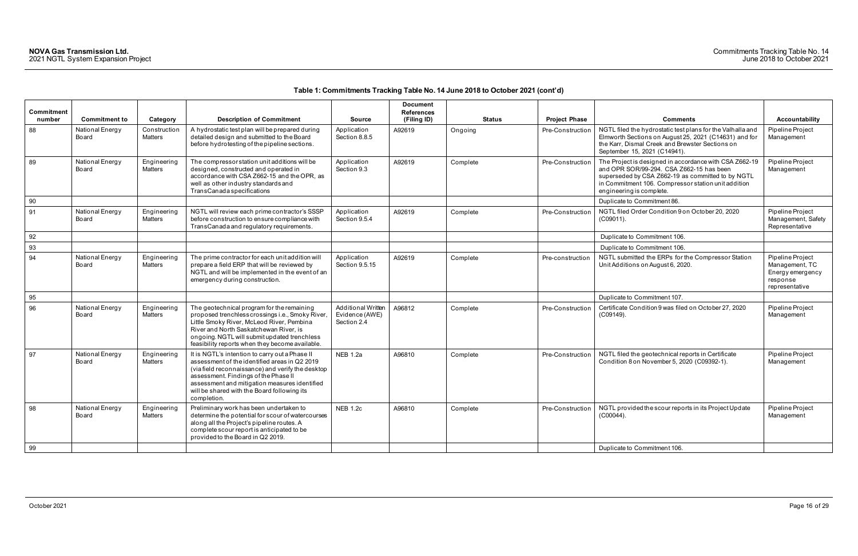| <b>Commitment</b> |                          |                                |                                                                                                                                                                                                                                                                                                             |                                                     | <b>Document</b><br><b>References</b> |               |                      |                                                                                                                                                                                                                                            |                                                                                      |
|-------------------|--------------------------|--------------------------------|-------------------------------------------------------------------------------------------------------------------------------------------------------------------------------------------------------------------------------------------------------------------------------------------------------------|-----------------------------------------------------|--------------------------------------|---------------|----------------------|--------------------------------------------------------------------------------------------------------------------------------------------------------------------------------------------------------------------------------------------|--------------------------------------------------------------------------------------|
| number            | <b>Commitment to</b>     | Category                       | <b>Description of Commitment</b>                                                                                                                                                                                                                                                                            | <b>Source</b>                                       | (Filing ID)                          | <b>Status</b> | <b>Project Phase</b> | <b>Comments</b>                                                                                                                                                                                                                            | <b>Accountability</b>                                                                |
| 88                | National Energy<br>Board | Construction<br><b>Matters</b> | A hydrostatic test plan will be prepared during<br>detailed design and submitted to the Board<br>before hydrotesting of the pipeline sections.                                                                                                                                                              | Application<br>Section 8.8.5                        | A92619                               | Ongoing       | Pre-Construction     | NGTL filed the hydrostatic test plans for the Valhalla and<br>Elmworth Sections on August 25, 2021 (C14631) and for<br>the Karr, Dismal Creek and Brewster Sections on<br>September 15, 2021 (C14941).                                     | Pipeline Project<br>Management                                                       |
| 89                | National Energy<br>Board | Engineering<br><b>Matters</b>  | The compressorstation unit additions will be<br>designed, constructed and operated in<br>accordance with CSA Z662-15 and the OPR, as<br>well as other industry standards and<br><b>TransCanada specifications</b>                                                                                           | Application<br>Section 9.3                          | A92619                               | Complete      | Pre-Construction     | The Project is designed in accordance with CSA Z662-19<br>and OPR SOR/99-294. CSA Z662-15 has been<br>superseded by CSA Z662-19 as committed to by NGTL<br>in Commitment 106. Compressor station unit addition<br>engineering is complete. | Pipeline Project<br>Management                                                       |
| 90                |                          |                                |                                                                                                                                                                                                                                                                                                             |                                                     |                                      |               |                      | Duplicate to Commitment 86.                                                                                                                                                                                                                |                                                                                      |
| 91                | National Energy<br>Board | Engineering<br>Matters         | NGTL will review each prime contractor's SSSP<br>before construction to ensure compliance with<br>TransCanada and regulatory requirements.                                                                                                                                                                  | Application<br>Section 9.5.4                        | A92619                               | Complete      | Pre-Construction     | NGTL filed Order Condition 9 on October 20, 2020<br>(C09011).                                                                                                                                                                              | Pipeline Project<br>Management, Safety<br>Representative                             |
| 92                |                          |                                |                                                                                                                                                                                                                                                                                                             |                                                     |                                      |               |                      | Duplicate to Commitment 106.                                                                                                                                                                                                               |                                                                                      |
| 93                |                          |                                |                                                                                                                                                                                                                                                                                                             |                                                     |                                      |               |                      | Duplicate to Commitment 106.                                                                                                                                                                                                               |                                                                                      |
| 94                | National Energy<br>Board | Engineering<br><b>Matters</b>  | The prime contractor for each unit addition will<br>prepare a field ERP that will be reviewed by<br>NGTL and will be implemented in the event of an<br>emergency during construction.                                                                                                                       | Application<br>Section 9.5.15                       | A92619                               | Complete      | Pre-construction     | NGTL submitted the ERPs for the Compressor Station<br>Unit Additions on August 6, 2020.                                                                                                                                                    | Pipeline Project<br>Management, TC<br>Energy emergency<br>response<br>representative |
| 95                |                          |                                |                                                                                                                                                                                                                                                                                                             |                                                     |                                      |               |                      | Duplicate to Commitment 107.                                                                                                                                                                                                               |                                                                                      |
| 96                | National Energy<br>Board | Engineering<br><b>Matters</b>  | The geotechnical program for the remaining<br>proposed trenchless crossings i.e., Smoky River,<br>Little Smoky River, McLeod River, Pembina<br>River and North Saskatchewan River, is<br>ongoing. NGTL will submit updated trenchless<br>feasibility reports when they become available.                    | Additional Written<br>Evidence (AWE)<br>Section 2.4 | A96812                               | Complete      | Pre-Construction     | Certificate Condition 9 was filed on October 27, 2020<br>$(C09149)$ .                                                                                                                                                                      | Pipeline Project<br>Management                                                       |
| 97                | National Energy<br>Board | Engineering<br>Matters         | It is NGTL's intention to carry out a Phase II<br>assessment of the identified areas in Q2 2019<br>(via field reconnaissance) and verify the desktop<br>assessment. Findings of the Phase II<br>assessment and mitigation measures identified<br>will be shared with the Board following its<br>completion. | <b>NEB 1.2a</b>                                     | A96810                               | Complete      | Pre-Construction     | NGTL filed the geotechnical reports in Certificate<br>Condition 8 on November 5, 2020 (C09392-1).                                                                                                                                          | Pipeline Project<br>Management                                                       |
| 98                | National Energy<br>Board | Engineering<br><b>Matters</b>  | Preliminary work has been undertaken to<br>determine the potential for scour of watercourses<br>along all the Project's pipeline routes. A<br>complete scour report is anticipated to be<br>provided to the Board in Q2 2019.                                                                               | <b>NEB 1.2c</b>                                     | A96810                               | Complete      | Pre-Construction     | NGTL provided the scour reports in its Project Update<br>$(C00044)$ .                                                                                                                                                                      | Pipeline Project<br>Management                                                       |
| 99                |                          |                                |                                                                                                                                                                                                                                                                                                             |                                                     |                                      |               |                      | Duplicate to Commitment 106.                                                                                                                                                                                                               |                                                                                      |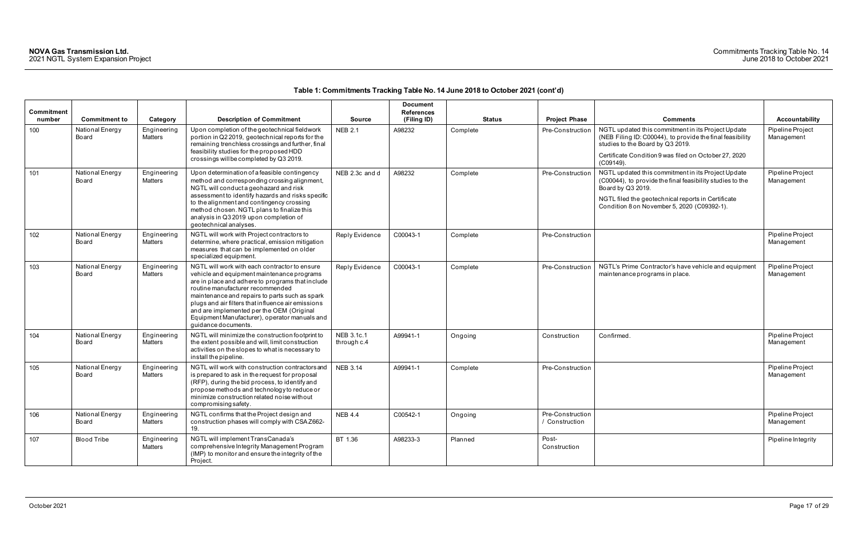| <b>Commitment</b> |                          |                               |                                                                                                                                                                                                                                                                                                                                                                                                                  |                           | <b>Document</b><br><b>References</b> |               |                                    |                                                                                                                                                                                                                                           |                                |
|-------------------|--------------------------|-------------------------------|------------------------------------------------------------------------------------------------------------------------------------------------------------------------------------------------------------------------------------------------------------------------------------------------------------------------------------------------------------------------------------------------------------------|---------------------------|--------------------------------------|---------------|------------------------------------|-------------------------------------------------------------------------------------------------------------------------------------------------------------------------------------------------------------------------------------------|--------------------------------|
| number            | <b>Commitment to</b>     | Category                      | <b>Description of Commitment</b>                                                                                                                                                                                                                                                                                                                                                                                 | <b>Source</b>             | (Filing ID)                          | <b>Status</b> | <b>Project Phase</b>               | <b>Comments</b>                                                                                                                                                                                                                           | <b>Accountability</b>          |
| 100               | National Energy<br>Board | Engineering<br>Matters        | Upon completion of the geotechnical fieldwork<br>portion in Q2 2019, geotechnical reports for the<br>remaining trenchless crossings and further, final<br>feasibility studies for the proposed HDD<br>crossings will be completed by Q3 2019.                                                                                                                                                                    | <b>NEB 2.1</b>            | A98232                               | Complete      | Pre-Construction                   | NGTL updated this commitment in its Project Update<br>(NEB Filing ID: C00044), to provide the final feasibility<br>studies to the Board by Q3 2019.<br>Certificate Condition 9 was filed on October 27, 2020<br>(C09149).                 | Pipeline Project<br>Management |
| 101               | National Energy<br>Board | Engineering<br>Matters        | Upon determination of a feasible contingency<br>method and corresponding crossing alignment,<br>NGTL will conduct a geohazard and risk<br>assessment to identify hazards and risks specific<br>to the alignment and contingency crossing<br>method chosen. NGTL plans to finalize this<br>analysis in Q3 2019 upon completion of<br>geotechnical analyses.                                                       | NEB 2.3c and d            | A98232                               | Complete      | Pre-Construction                   | NGTL updated this commitment in its Project Update<br>(C00044), to provide the final feasibility studies to the<br>Board by Q3 2019.<br>NGTL filed the geotechnical reports in Certificate<br>Condition 8 on November 5, 2020 (C09392-1). | Pipeline Project<br>Management |
| 102               | National Energy<br>Board | Engineering<br>Matters        | NGTL will work with Project contractors to<br>determine, where practical, emission mitigation<br>measures that can be implemented on older<br>specialized equipment.                                                                                                                                                                                                                                             | Reply Evidence            | C00043-1                             | Complete      | Pre-Construction                   |                                                                                                                                                                                                                                           | Pipeline Project<br>Management |
| 103               | National Energy<br>Board | Engineering<br><b>Matters</b> | NGTL will work with each contractor to ensure<br>vehicle and equipment maintenance programs<br>are in place and adhere to programs that include<br>routine manufacturer recommended<br>maintenance and repairs to parts such as spark<br>plugs and air filters that influence air emissions<br>and are implemented per the OEM (Original<br>Equipment Manufacturer), operator manuals and<br>guidance documents. | Reply Evidence            | C00043-1                             | Complete      | Pre-Construction                   | NGTL's Prime Contractor's have vehicle and equipment<br>maintenance programs in place.                                                                                                                                                    | Pipeline Project<br>Management |
| 104               | National Energy<br>Board | Engineering<br>Matters        | NGTL will minimize the construction footprint to<br>the extent possible and will, limit construction<br>activities on the slopes to what is necessary to<br>install the pipeline.                                                                                                                                                                                                                                | NEB 3.1c.1<br>through c.4 | A99941-1                             | Ongoing       | Construction                       | Confirmed                                                                                                                                                                                                                                 | Pipeline Project<br>Management |
| 105               | National Energy<br>Board | Engineering<br><b>Matters</b> | NGTL will work with construction contractors and<br>is prepared to ask in the request for proposal<br>(RFP), during the bid process, to identify and<br>propose methods and technology to reduce or<br>minimize construction related noise without<br>compromising safety.                                                                                                                                       | <b>NEB 3.14</b>           | A99941-1                             | Complete      | Pre-Construction                   |                                                                                                                                                                                                                                           | Pipeline Project<br>Management |
| 106               | National Energy<br>Board | Engineering<br>Matters        | NGTL confirms that the Project design and<br>construction phases will comply with CSAZ662-                                                                                                                                                                                                                                                                                                                       | <b>NEB 4.4</b>            | C00542-1                             | Ongoing       | Pre-Construction<br>/ Construction |                                                                                                                                                                                                                                           | Pipeline Project<br>Management |
| 107               | <b>Blood Tribe</b>       | Engineering<br>Matters        | NGTL will implement TransCanada's<br>comprehensive Integrity Management Program<br>(IMP) to monitor and ensure the integrity of the<br>Project.                                                                                                                                                                                                                                                                  | BT 1.36                   | A98233-3                             | Planned       | Post-<br>Construction              |                                                                                                                                                                                                                                           | Pipeline Integrity             |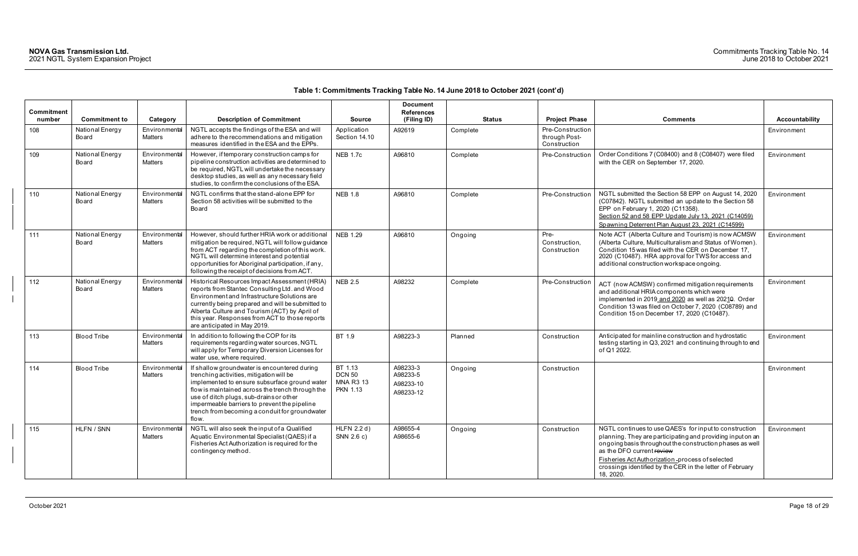| Commitment |                          |                                 |                                                                                                                                                                                                                                                                                                                                                     |                                                                 | <b>Document</b><br><b>References</b>           |               |                                                   |                                                                                                                                                                                                                                                                                                                                             |                |
|------------|--------------------------|---------------------------------|-----------------------------------------------------------------------------------------------------------------------------------------------------------------------------------------------------------------------------------------------------------------------------------------------------------------------------------------------------|-----------------------------------------------------------------|------------------------------------------------|---------------|---------------------------------------------------|---------------------------------------------------------------------------------------------------------------------------------------------------------------------------------------------------------------------------------------------------------------------------------------------------------------------------------------------|----------------|
| number     | <b>Commitment to</b>     | Category                        | <b>Description of Commitment</b>                                                                                                                                                                                                                                                                                                                    | <b>Source</b>                                                   | (Filing ID)                                    | <b>Status</b> | <b>Project Phase</b>                              | <b>Comments</b>                                                                                                                                                                                                                                                                                                                             | Accountability |
| 108        | National Energy<br>Board | Environmental<br><b>Matters</b> | NGTL accepts the findings of the ESA and will<br>adhere to the recommendations and mitigation<br>measures identified in the ESA and the EPPs.                                                                                                                                                                                                       | Application<br>Section 14.10                                    | A92619                                         | Complete      | Pre-Construction<br>through Post-<br>Construction |                                                                                                                                                                                                                                                                                                                                             | Environment    |
| 109        | National Energy<br>Board | Environmental<br><b>Matters</b> | However, if temporary construction camps for<br>pipeline construction activities are determined to<br>be required, NGTL will undertake the necessary<br>desktop studies, as well as any necessary field<br>studies, to confirm the conclusions of the ESA.                                                                                          | <b>NEB 1.7c</b>                                                 | A96810                                         | Complete      | Pre-Construction                                  | Order Conditions 7 (C08400) and 8 (C08407) were filed<br>with the CER on September 17, 2020.                                                                                                                                                                                                                                                | Environment    |
| 110        | National Energy<br>Board | Environmental<br><b>Matters</b> | NGTL confirms that the stand-alone EPP for<br>Section 58 activities will be submitted to the<br>Board                                                                                                                                                                                                                                               | <b>NEB 1.8</b>                                                  | A96810                                         | Complete      | Pre-Construction                                  | NGTL submitted the Section 58 EPP on August 14, 2020<br>(C07842). NGTL submitted an update to the Section 58<br>EPP on February 1, 2020 (C11358).<br>Section 52 and 58 EPP Update July 13, 2021 (C14059)<br>Spawning Deterrent Plan August 23, 2021 (C14599)                                                                                | Environment    |
| 111        | National Energy<br>Board | Environmental<br>Matters        | However, should further HRIA work or additional<br>mitigation be required, NGTL will follow guidance<br>from ACT regarding the completion of this work.<br>NGTL will determine interest and potential<br>opportunities for Aboriginal participation, if any,<br>following the receipt of decisions from ACT.                                        | <b>NEB 1.29</b>                                                 | A96810                                         | Ongoing       | Pre-<br>Construction,<br>Construction             | Note ACT (Alberta Culture and Tourism) is now ACMSW<br>(Alberta Culture, Multiculturalism and Status of Women).<br>Condition 15 was filed with the CER on December 17,<br>2020 (C10487). HRA approval for TWS for access and<br>additional construction workspace ongoing.                                                                  | Environment    |
| 112        | National Energy<br>Board | Environmental<br>Matters        | Historical Resources Impact Assessment (HRIA)<br>reports from Stantec Consulting Ltd. and Wood<br>Environment and Infrastructure Solutions are<br>currently being prepared and will be submitted to<br>Alberta Culture and Tourism (ACT) by April of<br>this year. Responses from ACT to those reports<br>are anticipated in May 2019.              | <b>NEB 2.5</b>                                                  | A98232                                         | Complete      | Pre-Construction                                  | ACT (now ACMSW) confirmed mitigation requirements<br>and additional HRIA components which were<br>implemented in 2019_and 2020 as well as 20210. Order<br>Condition 13 was filed on October 7, 2020 (C08789) and<br>Condition 15 on December 17, 2020 (C10487).                                                                             | Environment    |
| 113        | <b>Blood Tribe</b>       | Environmental<br><b>Matters</b> | In addition to following the COP for its<br>requirements regarding water sources, NGTL<br>will apply for Temporary Diversion Licenses for<br>water use, where required.                                                                                                                                                                             | BT 1.9                                                          | A98223-3                                       | Planned       | Construction                                      | Anticipated for mainline construction and hydrostatic<br>testing starting in Q3, 2021 and continuing through to end<br>of Q1 2022.                                                                                                                                                                                                          | Environment    |
| 114        | <b>Blood Tribe</b>       | Environmental<br><b>Matters</b> | If shallow groundwater is encountered during<br>trenching activities, mitigation will be<br>implemented to ensure subsurface ground water<br>flow is maintained across the trench through the<br>use of ditch plugs, sub-drains or other<br>impermeable barriers to prevent the pipeline<br>trench from becoming a conduit for groundwater<br>flow. | BT 1.13<br><b>DCN 50</b><br><b>MNA R3 13</b><br><b>PKN 1.13</b> | A98233-3<br>A98233-5<br>A98233-10<br>A98233-12 | Ongoing       | Construction                                      |                                                                                                                                                                                                                                                                                                                                             | Environment    |
| 115        | HLFN / SNN               | Environmental<br>Matters        | NGTL will also seek the input of a Qualified<br>Aquatic Environmental Specialist (QAES) if a<br>Fisheries Act Authorization is required for the<br>contingency method.                                                                                                                                                                              | HLFN 2.2 d)<br>SNN 2.6 c)                                       | A98655-4<br>A98655-6                           | Ongoing       | Construction                                      | NGTL continues to use QAES's for input to construction<br>planning. They are participating and providing input on an<br>ongoing basis throughout the construction phases as well<br>as the DFO current review<br>Fisheries Act Authorization -process of selected<br>crossings identified by the CER in the letter of February<br>18, 2020. | Environment    |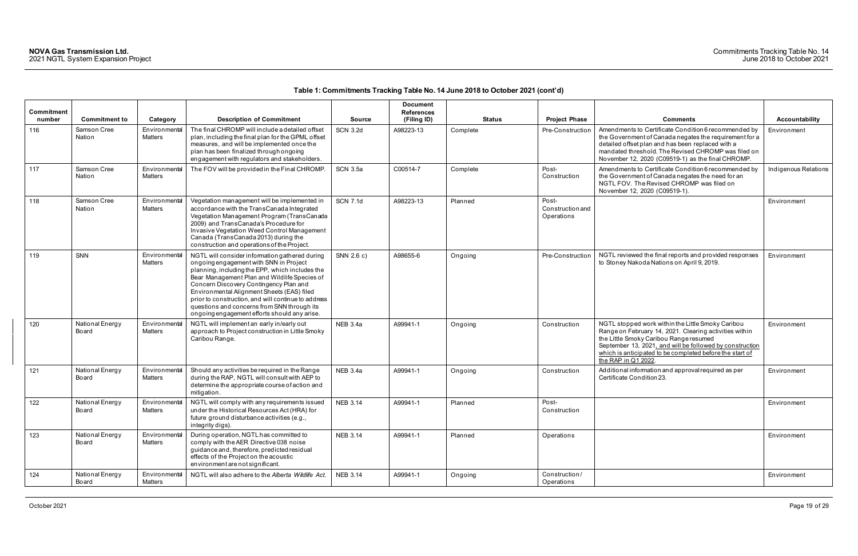| <b>Commitment</b><br>number | <b>Commitment to</b>     | Category                 | <b>Description of Commitment</b>                                                                                                                                                                                                                                                                                                                                                                                                          | <b>Source</b>   | <b>Document</b><br><b>References</b><br>(Filing ID) | <b>Status</b> | <b>Project Phase</b>                    | <b>Comments</b>                                                                                                                                                                                                                                                                                      | <b>Accountability</b> |
|-----------------------------|--------------------------|--------------------------|-------------------------------------------------------------------------------------------------------------------------------------------------------------------------------------------------------------------------------------------------------------------------------------------------------------------------------------------------------------------------------------------------------------------------------------------|-----------------|-----------------------------------------------------|---------------|-----------------------------------------|------------------------------------------------------------------------------------------------------------------------------------------------------------------------------------------------------------------------------------------------------------------------------------------------------|-----------------------|
| 116                         | Samson Cree<br>Nation    | Environmental<br>Matters | The final CHROMP will include a detailed offset<br>plan, including the final plan for the GPML offset<br>measures, and will be implemented once the<br>plan has been finalized through ongoing<br>engagement with regulators and stakeholders.                                                                                                                                                                                            | <b>SCN 3.2d</b> | A98223-13                                           | Complete      | Pre-Construction                        | Amendments to Certificate Condition 6 recommended by<br>the Government of Canada negates the requirement for a<br>detailed offset plan and has been replaced with a<br>mandated threshold. The Revised CHROMP was filed on<br>November 12, 2020 (C09519-1) as the final CHROMP.                      | Environment           |
| 117                         | Samson Cree<br>Nation    | Environmental<br>Matters | The FOV will be provided in the Final CHROMP.                                                                                                                                                                                                                                                                                                                                                                                             | <b>SCN 3.5a</b> | C00514-7                                            | Complete      | Post-<br>Construction                   | Amendments to Certificate Condition 6 recommended by<br>the Government of Canada negates the need for an<br>NGTL FOV. The Revised CHROMP was filed on<br>November 12, 2020 (C09519-1).                                                                                                               | Indigenous Relations  |
| 118                         | Samson Cree<br>Nation    | Environmental<br>Matters | Vegetation management will be implemented in<br>accordance with the TransCanada Integrated<br>Vegetation Management Program (TransCanada<br>2009) and TransCanada's Procedure for<br>Invasive Vegetation Weed Control Management<br>Canada (TransCanada 2013) during the<br>construction and operations of the Project.                                                                                                                   | <b>SCN 7.1d</b> | A98223-13                                           | Planned       | Post-<br>Construction and<br>Operations |                                                                                                                                                                                                                                                                                                      | Environment           |
| 119                         | SNN                      | Environmental<br>Matters | NGTL will consider information gathered during<br>ongoing engagement with SNN in Project<br>planning, including the EPP, which includes the<br>Bear Management Plan and Wildlife Species of<br>Concern Discovery Contingency Plan and<br>Environmental Alignment Sheets (EAS) filed<br>prior to construction, and will continue to address<br>questions and concerns from SNN through its<br>ongoing engagement efforts should any arise. | SNN 2.6 c)      | A98655-6                                            | Ongoing       | Pre-Construction                        | NGTL reviewed the final reports and provided responses<br>to Stoney Nakoda Nations on April 9, 2019.                                                                                                                                                                                                 | Environment           |
| 120                         | National Energy<br>Board | Environmental<br>Matters | NGTL will implement an early in/early out<br>approach to Project construction in Little Smoky<br>Caribou Range.                                                                                                                                                                                                                                                                                                                           | <b>NEB 3.4a</b> | A99941-1                                            | Ongoing       | Construction                            | NGTL stopped work within the Little Smoky Caribou<br>Range on February 14, 2021. Clearing activities within<br>the Little Smoky Caribou Range resumed<br>September 13, 2021, and will be followed by construction<br>which is anticipated to be completed before the start of<br>the RAP in Q1 2022. | Environment           |
| 121                         | National Energy<br>Board | Environmental<br>Matters | Should any activities be required in the Range<br>during the RAP, NGTL will consult with AEP to<br>determine the appropriate course of action and<br>mitigation.                                                                                                                                                                                                                                                                          | <b>NEB 3.4a</b> | A99941-1                                            | Ongoing       | Construction                            | Additional information and approval required as per<br>Certificate Condition 23.                                                                                                                                                                                                                     | Environment           |
| 122                         | National Energy<br>Board | Environmental<br>Matters | NGTL will comply with any requirements issued<br>under the Historical Resources Act (HRA) for<br>tuture ground disturbance activities (e.g.,<br>integrity digs).                                                                                                                                                                                                                                                                          | <b>NEB 3.14</b> | A99941-1                                            | Planned       | Post-<br>Construction                   |                                                                                                                                                                                                                                                                                                      | Environment           |
| 123                         | National Energy<br>Board | Environmental<br>Matters | During operation, NGTL has committed to<br>comply with the AER Directive 038 noise<br>guidance and, therefore, predicted residual<br>effects of the Project on the acoustic<br>environment are not significant.                                                                                                                                                                                                                           | <b>NEB 3.14</b> | A99941-1                                            | Planned       | Operations                              |                                                                                                                                                                                                                                                                                                      | Environment           |
| 124                         | National Energy<br>Board | Environmental<br>Matters | NGTL will also adhere to the Alberta Wildlife Act.                                                                                                                                                                                                                                                                                                                                                                                        | <b>NEB 3.14</b> | A99941-1                                            | Ongoing       | Construction/<br>Operations             |                                                                                                                                                                                                                                                                                                      | Environment           |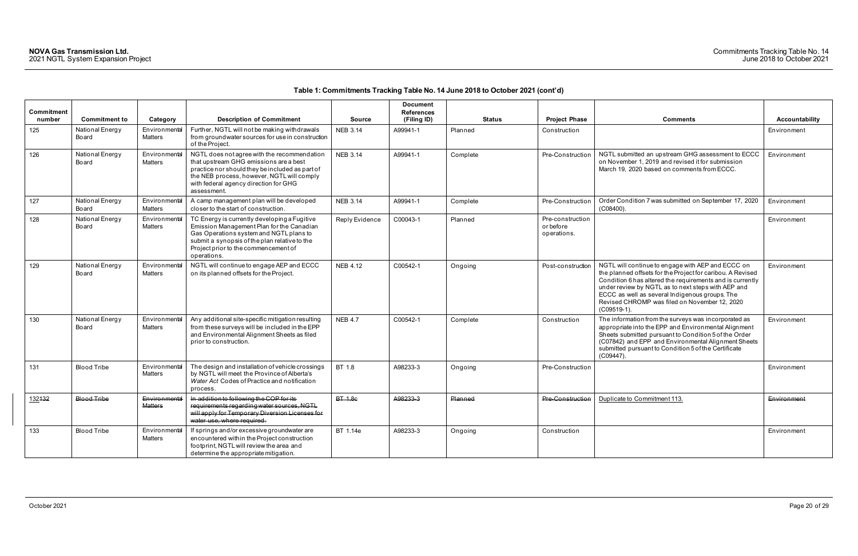| <b>Commitment</b> |                          |                                 |                                                                                                                                                                                                                                                |                 | <b>Document</b><br><b>References</b> |               |                                              |                                                                                                                                                                                                                                                                                                                                                         |                       |
|-------------------|--------------------------|---------------------------------|------------------------------------------------------------------------------------------------------------------------------------------------------------------------------------------------------------------------------------------------|-----------------|--------------------------------------|---------------|----------------------------------------------|---------------------------------------------------------------------------------------------------------------------------------------------------------------------------------------------------------------------------------------------------------------------------------------------------------------------------------------------------------|-----------------------|
| number            | <b>Commitment to</b>     | Category                        | <b>Description of Commitment</b>                                                                                                                                                                                                               | <b>Source</b>   | (Filing ID)                          | <b>Status</b> | <b>Project Phase</b>                         | <b>Comments</b>                                                                                                                                                                                                                                                                                                                                         | <b>Accountability</b> |
| 125               | National Energy<br>Board | Environmental<br>Matters        | Further, NGTL will not be making withdrawals<br>from groundwater sources for use in construction<br>of the Project.                                                                                                                            | <b>NEB 3.14</b> | A99941-1                             | Planned       | Construction                                 |                                                                                                                                                                                                                                                                                                                                                         | Environment           |
| 126               | National Energy<br>Board | Environmental<br><b>Matters</b> | NGTL does not agree with the recommendation<br>that upstream GHG emissions are a best<br>practice nor should they be included as part of<br>the NEB process, however, NGTL will comply<br>with federal agency direction for GHG<br>assessment. | <b>NEB 3.14</b> | A99941-1                             | Complete      | Pre-Construction                             | NGTL submitted an upstream GHG assessment to ECCC<br>on November 1, 2019 and revised it for submission<br>March 19, 2020 based on comments from ECCC.                                                                                                                                                                                                   | Environment           |
| 127               | National Energy<br>Board | Environmental<br><b>Matters</b> | A camp management plan will be developed<br>closer to the start of construction.                                                                                                                                                               | <b>NEB 3.14</b> | A99941-1                             | Complete      | Pre-Construction                             | Order Condition 7 was submitted on September 17, 2020<br>$(C08400)$ .                                                                                                                                                                                                                                                                                   | Environment           |
| 128               | National Energy<br>Board | Environmental<br>Matters        | TC Energy is currently developing a Fugitive<br>Emission Management Plan for the Canadian<br>Gas Operations system and NGTL plans to<br>submit a synopsis of the plan relative to the<br>Project prior to the commencement of<br>operations.   | Reply Evidence  | C00043-1                             | Planned       | Pre-construction<br>or before<br>operations. |                                                                                                                                                                                                                                                                                                                                                         | Environment           |
| 129               | National Energy<br>Board | Environmental<br><b>Matters</b> | NGTL will continue to engage AEP and ECCC<br>on its planned offsets for the Project.                                                                                                                                                           | <b>NEB 4.12</b> | C00542-1                             | Ongoing       | Post-construction                            | NGTL will continue to engage with AEP and ECCC on<br>the planned offsets for the Project for caribou. A Revised<br>Condition 6 has altered the requirements and is currently<br>under review by NGTL as to next steps with AEP and<br>ECCC as well as several Indigenous groups. The<br>Revised CHROMP was filed on November 12, 2020<br>$(C09519-1)$ . | Environment           |
| 130               | National Energy<br>Board | Environmental<br><b>Matters</b> | Any additional site-specific mitigation resulting<br>from these surveys will be included in the EPP<br>and Environmental Alignment Sheets as filed<br>prior to construction.                                                                   | <b>NEB 4.7</b>  | C00542-1                             | Complete      | Construction                                 | The information from the surveys was incorporated as<br>appropriate into the EPP and Environmental Alignment<br>Sheets submitted pursuant to Condition 5 of the Order<br>(C07842) and EPP and Environmental Alignment Sheets<br>submitted pursuant to Condition 5 of the Certificate<br>(C09447).                                                       | Environment           |
| 131               | <b>Blood Tribe</b>       | Environmental<br><b>Matters</b> | The design and installation of vehicle crossings<br>by NGTL will meet the Province of Alberta's<br>Water Act Codes of Practice and notification<br>process.                                                                                    | BT 1.8          | A98233-3                             | Ongoing       | Pre-Construction                             |                                                                                                                                                                                                                                                                                                                                                         | Environment           |
| 132132            | Blood Tribe              | Environmental<br><b>Matters</b> | In addition to following the COP for its<br>requirements reqarding water sources, NGTL<br>will apply for Temporary Diversion Licenses for<br>water use, where required.                                                                        | <b>BT 1.86</b>  | A98233 3                             | Planned       | <b>Pre Construction</b>                      | Duplicate to Commitment 113.                                                                                                                                                                                                                                                                                                                            | Environment           |
| 133               | <b>Blood Tribe</b>       | Environmental<br>Matters        | If springs and/or excessive groundwater are<br>encountered within the Project construction<br>footprint, NGTL will review the area and<br>determine the appropriate mitigation.                                                                | BT 1.14e        | A98233-3                             | Ongoing       | Construction                                 |                                                                                                                                                                                                                                                                                                                                                         | Environment           |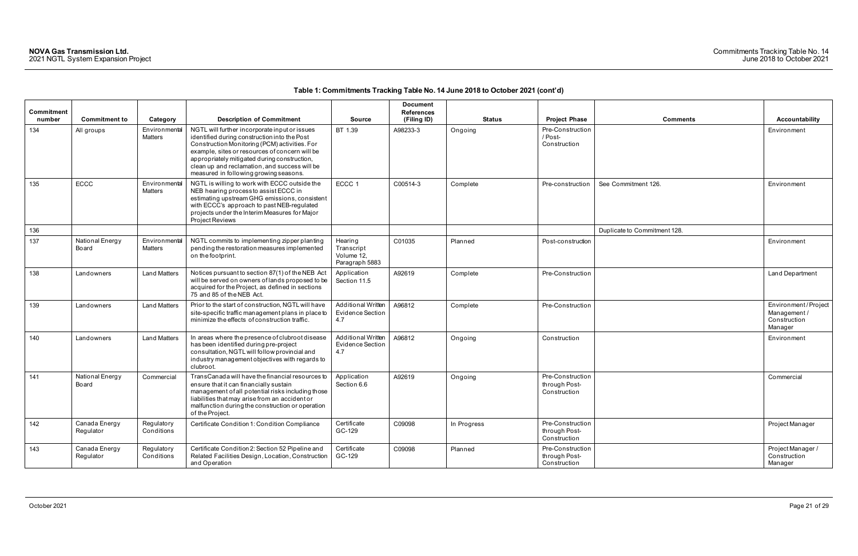| <b>Commitment</b><br>number | <b>Commitment to</b>       | Category                        | <b>Description of Commitment</b>                                                                                                                                                                                                                                                                                                            | <b>Source</b>                                               | <b>Document</b><br><b>References</b><br>(Filing ID) | <b>Status</b> | <b>Project Phase</b>                              | <b>Comments</b>              | Accountability                                                |
|-----------------------------|----------------------------|---------------------------------|---------------------------------------------------------------------------------------------------------------------------------------------------------------------------------------------------------------------------------------------------------------------------------------------------------------------------------------------|-------------------------------------------------------------|-----------------------------------------------------|---------------|---------------------------------------------------|------------------------------|---------------------------------------------------------------|
| 134                         | All groups                 | Environmental<br>Matters        | NGTL will further incorporate input or issues<br>identified during construction into the Post<br>Construction Monitoring (PCM) activities. For<br>example, sites or resources of concern will be<br>appropriately mitigated during construction,<br>clean up and reclamation, and success will be<br>measured in following growing seasons. | BT 1.39                                                     | A98233-3                                            | Ongoing       | Pre-Construction<br>/ Post-<br>Construction       |                              | Environment                                                   |
| 135                         | ECCC                       | Environmental<br>Matters        | NGTL is willing to work with ECCC outside the<br>NEB hearing process to assist ECCC in<br>estimating upstream GHG emissions, consistent<br>with ECCC's approach to past NEB-regulated<br>projects under the Interim Measures for Major<br>Project Reviews                                                                                   | ECCC 1                                                      | C00514-3                                            | Complete      | Pre-construction                                  | See Commitment 126.          | Environment                                                   |
| 136                         |                            |                                 |                                                                                                                                                                                                                                                                                                                                             |                                                             |                                                     |               |                                                   | Duplicate to Commitment 128. |                                                               |
| 137                         | National Energy<br>Board   | Environmental<br><b>Matters</b> | NGTL commits to implementing zipper planting<br>pending the restoration measures implemented<br>on the footprint.                                                                                                                                                                                                                           | Hearing<br>Transcript<br>Volume 12,<br>Paragraph 5883       | C01035                                              | Planned       | Post-construction                                 |                              | Environment                                                   |
| 138                         | Landowners                 | <b>Land Matters</b>             | Notices pursuant to section 87(1) of the NEB Act<br>will be served on owners of lands proposed to be<br>acquired for the Project, as defined in sections<br>75 and 85 of the NEB Act.                                                                                                                                                       | Application<br>Section 11.5                                 | A92619                                              | Complete      | Pre-Construction                                  |                              | Land Department                                               |
| 139                         | Landowners                 | <b>Land Matters</b>             | Prior to the start of construction, NGTL will have<br>site-specific traffic management plans in place to<br>minimize the effects of construction traffic.                                                                                                                                                                                   | <b>Additional Written</b><br>Evidence Section<br>4.7        | A96812                                              | Complete      | Pre-Construction                                  |                              | Environment/Project<br>Management/<br>Construction<br>Manager |
| 140                         | Landowners                 | <b>Land Matters</b>             | In areas where the presence of clubroot disease<br>has been identified during pre-project<br>consultation, NGTL will follow provincial and<br>industry management objectives with regards to<br>clubroot.                                                                                                                                   | <b>Additional Written</b><br><b>Evidence Section</b><br>4.7 | A96812                                              | Ongoing       | Construction                                      |                              | Environment                                                   |
| 141                         | National Energy<br>Board   | Commercial                      | TransCanada will have the financial resources to<br>ensure that it can financially sustain<br>management of all potential risks including those<br>liabilities that may arise from an accident or<br>malfunction during the construction or operation<br>of the Project.                                                                    | Application<br>Section 6.6                                  | A92619                                              | Ongoing       | Pre-Construction<br>through Post-<br>Construction |                              | Commercial                                                    |
| 142                         | Canada Energy<br>Regulator | Regulatory<br>Conditions        | Certificate Condition 1: Condition Compliance                                                                                                                                                                                                                                                                                               | Certificate<br>GC-129                                       | C09098                                              | In Progress   | Pre-Construction<br>through Post-<br>Construction |                              | Project Manager                                               |
| 143                         | Canada Energy<br>Regulator | Regulatory<br>Conditions        | Certificate Condition 2: Section 52 Pipeline and<br>Related Facilities Design, Location, Construction<br>and Operation                                                                                                                                                                                                                      | Certificate<br>GC-129                                       | C09098                                              | Planned       | Pre-Construction<br>through Post-<br>Construction |                              | Project Manager /<br>Construction<br>Manager                  |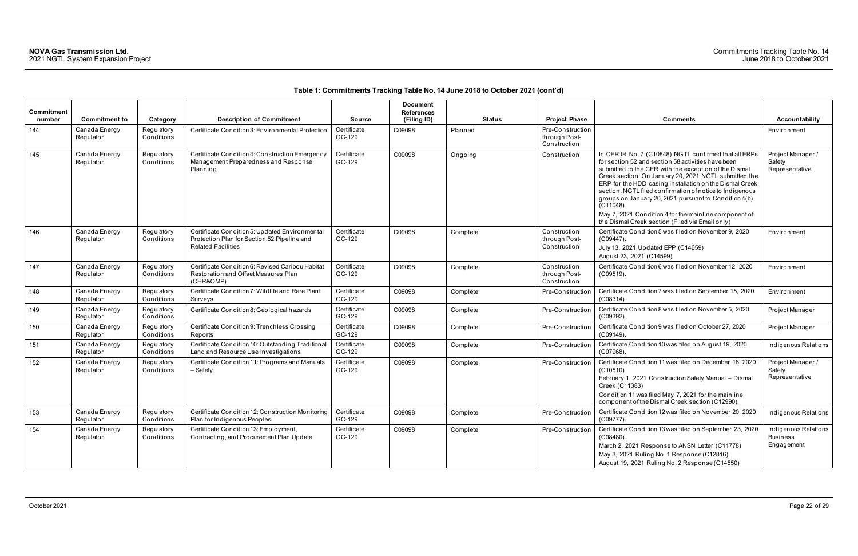| Commitment |                            |                          |                                                                                                                            |                       | <b>Document</b><br><b>References</b> |               |                                                   |                                                                                                                                                                                                                                                                                                                                                                                                                                                                                                                                        |                                                       |
|------------|----------------------------|--------------------------|----------------------------------------------------------------------------------------------------------------------------|-----------------------|--------------------------------------|---------------|---------------------------------------------------|----------------------------------------------------------------------------------------------------------------------------------------------------------------------------------------------------------------------------------------------------------------------------------------------------------------------------------------------------------------------------------------------------------------------------------------------------------------------------------------------------------------------------------------|-------------------------------------------------------|
| number     | <b>Commitment to</b>       | Category                 | <b>Description of Commitment</b>                                                                                           | <b>Source</b>         | (Filing ID)                          | <b>Status</b> | <b>Project Phase</b>                              | <b>Comments</b>                                                                                                                                                                                                                                                                                                                                                                                                                                                                                                                        | <b>Accountability</b>                                 |
| 144        | Canada Energy<br>Regulator | Regulatory<br>Conditions | Certificate Condition 3: Environmental Protection                                                                          | Certificate<br>GC-129 | C09098                               | Planned       | Pre-Construction<br>through Post-<br>Construction |                                                                                                                                                                                                                                                                                                                                                                                                                                                                                                                                        | Environment                                           |
| 145        | Canada Energy<br>Regulator | Regulatory<br>Conditions | Certificate Condition 4: Construction Emergency<br>Management Preparedness and Response<br>Planning                        | Certificate<br>GC-129 | C09098                               | Ongoing       | Construction                                      | In CER IR No. 7 (C10848) NGTL confirmed that all ERPs<br>for section 52 and section 58 activities have been<br>submitted to the CER with the exception of the Dismal<br>Creek section. On January 20, 2021 NGTL submitted the<br>ERP for the HDD casing installation on the Dismal Creek<br>section. NGTL filed confirmation of notice to Indigenous<br>groups on January 20, 2021 pursuant to Condition 4(b)<br>(C11048).<br>May 7, 2021 Condition 4 for the mainline component of<br>the Dismal Creek section (Filed via Email only) | Project Manager /<br>Safety<br>Representative         |
| 146        | Canada Energy<br>Regulator | Regulatory<br>Conditions | Certificate Condition 5: Updated Environmental<br>Protection Plan for Section 52 Pipeline and<br><b>Related Facilities</b> | Certificate<br>GC-129 | C09098                               | Complete      | Construction<br>through Post-<br>Construction     | Certificate Condition 5 was filed on November 9, 2020<br>(C09447).<br>July 13, 2021 Updated EPP (C14059)<br>August 23, 2021 (C14599)                                                                                                                                                                                                                                                                                                                                                                                                   | Environment                                           |
| 147        | Canada Energy<br>Regulator | Regulatory<br>Conditions | Certificate Condition 6: Revised Caribou Habitat<br>Restoration and Offset Measures Plan<br>(CHR&OMP)                      | Certificate<br>GC-129 | C09098                               | Complete      | Construction<br>through Post-<br>Construction     | Certificate Condition 6 was filed on November 12, 2020<br>(C09519).                                                                                                                                                                                                                                                                                                                                                                                                                                                                    | Environment                                           |
| 148        | Canada Energy<br>Regulator | Regulatory<br>Conditions | Certificate Condition 7: Wildlife and Rare Plant<br>Surveys                                                                | Certificate<br>GC-129 | C09098                               | Complete      | Pre-Construction                                  | Certificate Condition 7 was filed on September 15, 2020<br>$(C08314)$ .                                                                                                                                                                                                                                                                                                                                                                                                                                                                | Environment                                           |
| 149        | Canada Energy<br>Regulator | Regulatory<br>Conditions | Certificate Condition 8: Geological hazards                                                                                | Certificate<br>GC-129 | C09098                               | Complete      | Pre-Construction                                  | Certificate Condition 8 was filed on November 5, 2020<br>$(C09392)$ .                                                                                                                                                                                                                                                                                                                                                                                                                                                                  | Project Manager                                       |
| 150        | Canada Energy<br>Regulator | Regulatory<br>Conditions | Certificate Condition 9: Trenchless Crossing<br>Reports                                                                    | Certificate<br>GC-129 | C09098                               | Complete      | Pre-Construction                                  | Certificate Condition 9 was filed on October 27, 2020<br>$(C09149)$ .                                                                                                                                                                                                                                                                                                                                                                                                                                                                  | Project Manager                                       |
| 151        | Canada Energy<br>Regulator | Regulatory<br>Conditions | Certificate Condition 10: Outstanding Traditional<br>Land and Resource Use Investigations                                  | Certificate<br>GC-129 | C09098                               | Complete      | Pre-Construction                                  | Certificate Condition 10 was filed on August 19, 2020<br>$(C07968)$ .                                                                                                                                                                                                                                                                                                                                                                                                                                                                  | Indigenous Relations                                  |
| 152        | Canada Energy<br>Regulator | Regulatory<br>Conditions | Certificate Condition 11: Programs and Manuals<br>- Safety                                                                 | Certificate<br>GC-129 | C09098                               | Complete      | Pre-Construction                                  | Certificate Condition 11 was filed on December 18, 2020<br>(C10510)<br>February 1, 2021 Construction Safety Manual - Dismal<br>Creek (C11383)<br>Condition 11 was filed May 7, 2021 for the mainline<br>component of the Dismal Creek section (C12990).                                                                                                                                                                                                                                                                                | Project Manager /<br>Safety<br>Representative         |
| 153        | Canada Energy<br>Regulator | Regulatory<br>Conditions | Certificate Condition 12: Construction Monitoring<br>Plan for Indigenous Peoples                                           | Certificate<br>GC-129 | C09098                               | Complete      | Pre-Construction                                  | Certificate Condition 12 was filed on November 20, 2020<br>(C09777).                                                                                                                                                                                                                                                                                                                                                                                                                                                                   | Indigenous Relations                                  |
| 154        | Canada Energy<br>Regulator | Regulatory<br>Conditions | Certificate Condition 13: Employment,<br>Contracting, and Procurement Plan Update                                          | Certificate<br>GC-129 | C09098                               | Complete      | Pre-Construction                                  | Certificate Condition 13 was filed on September 23, 2020<br>$(C08480)$ .<br>March 2, 2021 Response to ANSN Letter (C11778)<br>May 3, 2021 Ruling No. 1 Response (C12816)<br>August 19, 2021 Ruling No. 2 Response (C14550)                                                                                                                                                                                                                                                                                                             | Indigenous Relations<br><b>Business</b><br>Engagement |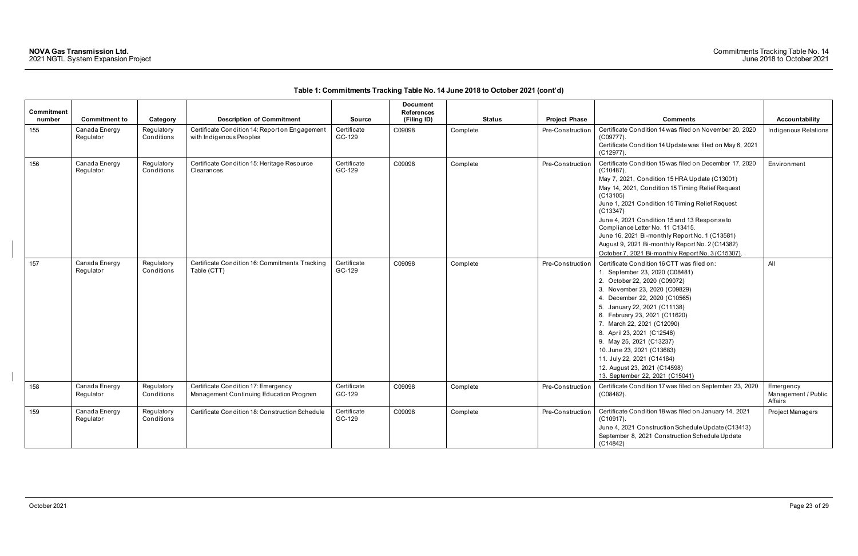| Commitment<br>number | <b>Commitment to</b>       | Category                 | <b>Description of Commitment</b>                                               | <b>Source</b>         | <b>Document</b><br><b>References</b><br>(Filing ID) | <b>Status</b> | <b>Project Phase</b> | <b>Comments</b>                                                                                                                                                                                                                                                                                                                                                                                                                                                                                       | Accountability                              |
|----------------------|----------------------------|--------------------------|--------------------------------------------------------------------------------|-----------------------|-----------------------------------------------------|---------------|----------------------|-------------------------------------------------------------------------------------------------------------------------------------------------------------------------------------------------------------------------------------------------------------------------------------------------------------------------------------------------------------------------------------------------------------------------------------------------------------------------------------------------------|---------------------------------------------|
| 155                  | Canada Energy<br>Regulator | Regulatory<br>Conditions | Certificate Condition 14: Report on Engagement<br>with Indigenous Peoples      | Certificate<br>GC-129 | C09098                                              | Complete      | Pre-Construction     | Certificate Condition 14 was filed on November 20, 2020<br>$(C09777)$ .<br>Certificate Condition 14 Update was filed on May 6, 2021<br>$(C12977)$ .                                                                                                                                                                                                                                                                                                                                                   | Indigenous Relations                        |
| 156                  | Canada Energy<br>Regulator | Regulatory<br>Conditions | Certificate Condition 15: Heritage Resource<br>Clearances                      | Certificate<br>GC-129 | C09098                                              | Complete      | Pre-Construction     | Certificate Condition 15 was filed on December 17, 2020<br>$(C10487)$ .<br>May 7, 2021, Condition 15 HRA Update (C13001)<br>May 14, 2021, Condition 15 Timing Relief Request<br>(C13105)<br>June 1, 2021 Condition 15 Timing Relief Request<br>(C13347)<br>June 4, 2021 Condition 15 and 13 Response to<br>Compliance Letter No. 11 C13415.<br>June 16, 2021 Bi-monthly Report No. 1 (C13581)<br>August 9, 2021 Bi-monthly Report No. 2 (C14382)<br>October 7, 2021 Bi-monthly Report No. 3 (C15307). | Environment                                 |
| 157                  | Canada Energy<br>Regulator | Regulatory<br>Conditions | Certificate Condition 16: Commitments Tracking<br>Table (CTT)                  | Certificate<br>GC-129 | C09098                                              | Complete      | Pre-Construction     | Certificate Condition 16 CTT was filed on:<br>1. September 23, 2020 (C08481)<br>2. October 22, 2020 (C09072)<br>3. November 23, 2020 (C09829)<br>4. December 22, 2020 (C10565)<br>5. January 22, 2021 (C11138)<br>6. February 23, 2021 (C11620)<br>7. March 22, 2021 (C12090)<br>8. April 23, 2021 (C12546)<br>9. May 25, 2021 (C13237)<br>10. June 23, 2021 (C13683)<br>11. July 22, 2021 (C14184)<br>12. August 23, 2021 (C14598)<br>13. September 22, 2021 (C15041)                                | All                                         |
| 158                  | Canada Energy<br>Regulator | Regulatory<br>Conditions | Certificate Condition 17: Emergency<br>Management Continuing Education Program | Certificate<br>GC-129 | C09098                                              | Complete      | Pre-Construction     | Certificate Condition 17 was filed on September 23, 2020<br>(C08482).                                                                                                                                                                                                                                                                                                                                                                                                                                 | Emergency<br>Management / Public<br>Affairs |
| 159                  | Canada Energy<br>Regulator | Regulatory<br>Conditions | Certificate Condition 18: Construction Schedule                                | Certificate<br>GC-129 | C09098                                              | Complete      | Pre-Construction     | Certificate Condition 18 was filed on January 14, 2021<br>$(C10917)$ .<br>June 4, 2021 Construction Schedule Update (C13413)<br>September 8, 2021 Construction Schedule Update<br>(C14842)                                                                                                                                                                                                                                                                                                            | Project Managers                            |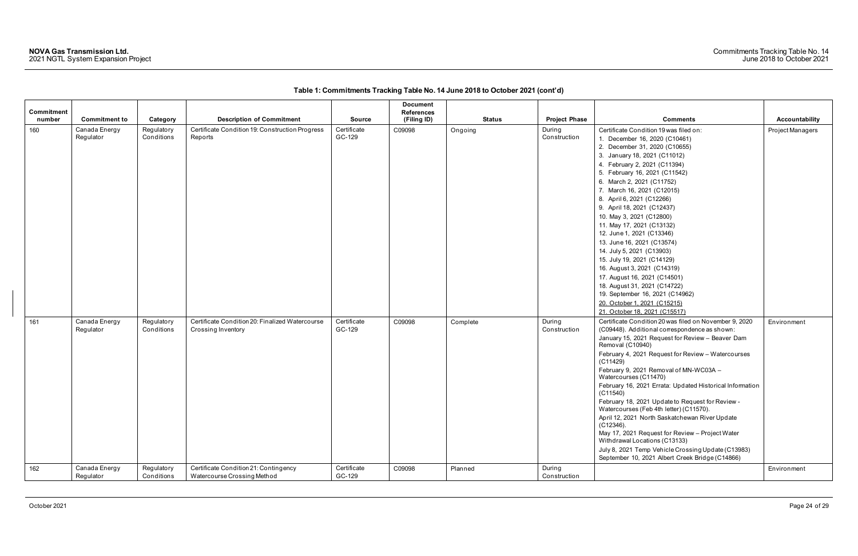| Commitment |                            |                          |                                                                       |                       | <b>Document</b><br><b>References</b> |               |                        |                                                                                                                                                                                                                                                                                                                                                                                                                                                                                                                                                                                                                                                                                                                                                            |                       |
|------------|----------------------------|--------------------------|-----------------------------------------------------------------------|-----------------------|--------------------------------------|---------------|------------------------|------------------------------------------------------------------------------------------------------------------------------------------------------------------------------------------------------------------------------------------------------------------------------------------------------------------------------------------------------------------------------------------------------------------------------------------------------------------------------------------------------------------------------------------------------------------------------------------------------------------------------------------------------------------------------------------------------------------------------------------------------------|-----------------------|
| number     | <b>Commitment to</b>       | Category                 | <b>Description of Commitment</b>                                      | <b>Source</b>         | (Filing ID)                          | <b>Status</b> | <b>Project Phase</b>   | <b>Comments</b>                                                                                                                                                                                                                                                                                                                                                                                                                                                                                                                                                                                                                                                                                                                                            | <b>Accountability</b> |
| 160        | Canada Energy<br>Regulator | Regulatory<br>Conditions | Certificate Condition 19: Construction Progress<br>Reports            | Certificate<br>GC-129 | C09098                               | Ongoing       | During<br>Construction | Certificate Condition 19 was filed on:<br>1. December 16, 2020 (C10461)<br>2. December 31, 2020 (C10655)<br>3. January 18, 2021 (C11012)<br>4. February 2, 2021 (C11394)<br>5. February 16, 2021 (C11542)<br>6. March 2, 2021 (C11752)<br>7. March 16, 2021 (C12015)<br>8. April 6, 2021 (C12266)<br>9. April 18, 2021 (C12437)<br>10. May 3, 2021 (C12800)<br>11. May 17, 2021 (C13132)<br>12. June 1, 2021 (C13346)<br>13. June 16, 2021 (C13574)<br>14. July 5, 2021 (C13903)<br>15. July 19, 2021 (C14129)<br>16. August 3, 2021 (C14319)<br>17. August 16, 2021 (C14501)<br>18. August 31, 2021 (C14722)<br>19. September 16, 2021 (C14962)<br>20. October 1, 2021 (C15215)<br>21. October 18, 2021 (C15517)                                          | Project Managers      |
| 161        | Canada Energy<br>Regulator | Regulatory<br>Conditions | Certificate Condition 20: Finalized Watercourse<br>Crossing Inventory | Certificate<br>GC-129 | C09098                               | Complete      | During<br>Construction | Certificate Condition 20 was filed on November 9, 2020<br>(C09448). Additional correspondence as shown:<br>January 15, 2021 Request for Review - Beaver Dam<br>Removal (C10940)<br>February 4, 2021 Request for Review - Watercourses<br>(C11429)<br>February 9, 2021 Removal of MN-WC03A -<br>Watercourses (C11470)<br>February 16, 2021 Errata: Updated Historical Information<br>(C11540)<br>February 18, 2021 Update to Request for Review -<br>Watercourses (Feb 4th letter) (C11570).<br>April 12, 2021 North Saskatchewan River Update<br>$(C12346)$ .<br>May 17, 2021 Request for Review - Project Water<br>Withdrawal Locations (C13133)<br>July 8, 2021 Temp Vehicle Crossing Update (C13983)<br>September 10, 2021 Albert Creek Bridge (C14866) | Environment           |
| 162        | Canada Energy<br>Regulator | Regulatory<br>Conditions | Certificate Condition 21: Contingency<br>Watercourse Crossing Method  | Certificate<br>GC-129 | C09098                               | Planned       | During<br>Construction |                                                                                                                                                                                                                                                                                                                                                                                                                                                                                                                                                                                                                                                                                                                                                            | Environment           |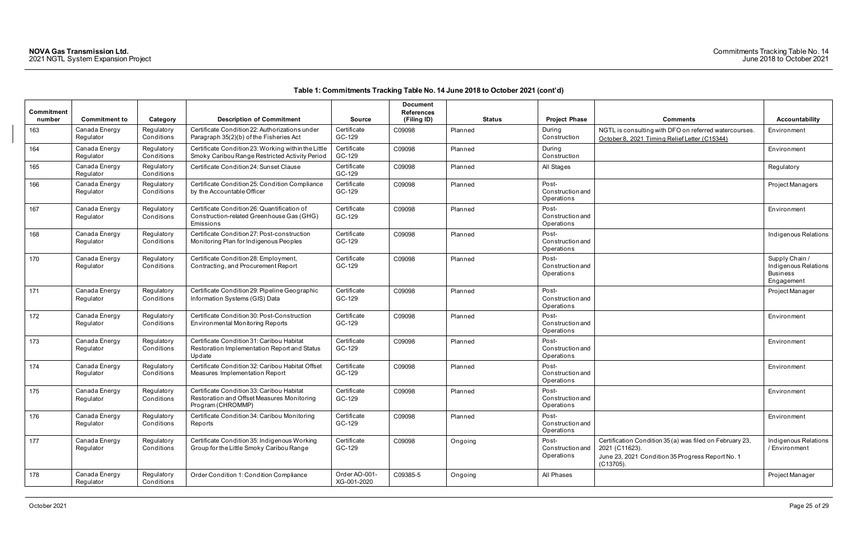| Commitment<br>number | <b>Commitment to</b>       | Category                 | <b>Description of Commitment</b>                                                                             | <b>Source</b>                | <b>Document</b><br><b>References</b><br>(Filing ID) | <b>Status</b> | <b>Project Phase</b>                           | <b>Comments</b>                                                                                                                                | Accountability                                                        |
|----------------------|----------------------------|--------------------------|--------------------------------------------------------------------------------------------------------------|------------------------------|-----------------------------------------------------|---------------|------------------------------------------------|------------------------------------------------------------------------------------------------------------------------------------------------|-----------------------------------------------------------------------|
| 163                  | Canada Energy<br>Regulator | Regulatory<br>Conditions | Certificate Condition 22: Authorizations under<br>Paragraph 35(2)(b) of the Fisheries Act                    | Certificate<br>GC-129        | C09098                                              | Planned       | During<br>Construction                         | NGTL is consulting with DFO on referred watercourses.<br>October 8, 2021 Timing Relief Letter (C15344)                                         | Environment                                                           |
| 164                  | Canada Energy<br>Regulator | Regulatory<br>Conditions | Certificate Condition 23: Working within the Little<br>Smoky Caribou Range Restricted Activity Period        | Certificate<br>GC-129        | C09098                                              | Planned       | During<br>Construction                         |                                                                                                                                                | Environment                                                           |
| 165                  | Canada Energy<br>Regulator | Regulatory<br>Conditions | Certificate Condition 24: Sunset Clause                                                                      | Certificate<br>GC-129        | C09098                                              | Planned       | All Stages                                     |                                                                                                                                                | Regulatory                                                            |
| 166                  | Canada Energy<br>Regulator | Regulatory<br>Conditions | Certificate Condition 25: Condition Compliance<br>by the Accountable Officer                                 | Certificate<br>GC-129        | C09098                                              | Planned       | Post-<br><b>Construction and</b><br>Operations |                                                                                                                                                | Project Managers                                                      |
| 167                  | Canada Energy<br>Regulator | Regulatory<br>Conditions | Certificate Condition 26: Quantification of<br>Construction-related Greenhouse Gas (GHG)<br>Emissions        | Certificate<br>GC-129        | C09098                                              | Planned       | Post-<br>Construction and<br>Operations        |                                                                                                                                                | Environment                                                           |
| 168                  | Canada Energy<br>Regulator | Regulatory<br>Conditions | Certificate Condition 27: Post-construction<br>Monitoring Plan for Indigenous Peoples                        | Certificate<br>GC-129        | C09098                                              | Planned       | Post-<br>Construction and<br>Operations        |                                                                                                                                                | Indigenous Relatio                                                    |
| 170                  | Canada Energy<br>Regulator | Regulatory<br>Conditions | Certificate Condition 28: Employment,<br>Contracting, and Procurement Report                                 | Certificate<br>GC-129        | C09098                                              | Planned       | Post-<br>Construction and<br>Operations        |                                                                                                                                                | Supply Chain /<br>Indigenous Relatio<br><b>Business</b><br>Engagement |
| 171                  | Canada Energy<br>Regulator | Regulatory<br>Conditions | Certificate Condition 29: Pipeline Geographic<br>Information Systems (GIS) Data                              | Certificate<br>GC-129        | C09098                                              | Planned       | Post-<br>Construction and<br>Operations        |                                                                                                                                                | Project Manager                                                       |
| 172                  | Canada Energy<br>Regulator | Regulatory<br>Conditions | Certificate Condition 30: Post-Construction<br><b>Environmental Monitoring Reports</b>                       | Certificate<br>GC-129        | C09098                                              | Planned       | Post-<br><b>Construction and</b><br>Operations |                                                                                                                                                | Environment                                                           |
| 173                  | Canada Energy<br>Regulator | Regulatory<br>Conditions | Certificate Condition 31: Caribou Habitat<br>Restoration Implementation Report and Status<br>Update          | Certificate<br>GC-129        | C09098                                              | Planned       | Post-<br><b>Construction and</b><br>Operations |                                                                                                                                                | Environment                                                           |
| 174                  | Canada Energy<br>Regulator | Regulatory<br>Conditions | Certificate Condition 32: Caribou Habitat Offset<br>Measures Implementation Report                           | Certificate<br>GC-129        | C09098                                              | Planned       | Post-<br>Construction and<br>Operations        |                                                                                                                                                | Environment                                                           |
| 175                  | Canada Energy<br>Regulator | Regulatory<br>Conditions | Certificate Condition 33: Caribou Habitat<br>Restoration and Offset Measures Monitoring<br>Program (CHROMMP) | Certificate<br>GC-129        | C09098                                              | Planned       | Post-<br>Construction and<br>Operations        |                                                                                                                                                | Environment                                                           |
| 176                  | Canada Energy<br>Regulator | Regulatory<br>Conditions | Certificate Condition 34: Caribou Monitoring<br>Reports                                                      | Certificate<br>GC-129        | C09098                                              | Planned       | Post-<br>Construction and<br>Operations        |                                                                                                                                                | Environment                                                           |
| 177                  | Canada Energy<br>Regulator | Regulatory<br>Conditions | Certificate Condition 35: Indigenous Working<br>Group for the Little Smoky Caribou Range                     | Certificate<br>GC-129        | C09098                                              | Ongoing       | Post-<br>Construction and<br>Operations        | Certification Condition 35 (a) was filed on February 23,<br>2021 (C11623).<br>June 23, 2021 Condition 35 Progress Report No. 1<br>$(C13705)$ . | Indigenous Relatio<br>/ Environment                                   |
| 178                  | Canada Energy<br>Regulator | Regulatory<br>Conditions | Order Condition 1: Condition Compliance                                                                      | Order AO-001-<br>XG-001-2020 | C09385-5                                            | Ongoing       | All Phases                                     |                                                                                                                                                | Project Manager                                                       |

| <b>Comments</b>                                                                                                                             | <b>Accountability</b>                                                   |
|---------------------------------------------------------------------------------------------------------------------------------------------|-------------------------------------------------------------------------|
| NGTL is consulting with DFO on referred watercourses.<br>October 8, 2021 Timing Relief Letter (C15344)                                      | Environment                                                             |
|                                                                                                                                             | Environment                                                             |
|                                                                                                                                             | Regulatory                                                              |
|                                                                                                                                             | Project Managers                                                        |
|                                                                                                                                             | Environment                                                             |
|                                                                                                                                             | Indigenous Relations                                                    |
|                                                                                                                                             | Supply Chain /<br>Indigenous Relations<br><b>Business</b><br>Engagement |
|                                                                                                                                             | Project Manager                                                         |
|                                                                                                                                             | Environment                                                             |
|                                                                                                                                             | Environment                                                             |
|                                                                                                                                             | Environment                                                             |
|                                                                                                                                             | Environment                                                             |
|                                                                                                                                             | Environment                                                             |
| Certification Condition 35 (a) was filed on February 23,<br>2021 (C11623).<br>June 23, 2021 Condition 35 Progress Report No. 1<br>(C13705). | Indigenous Relations<br>/ Environment                                   |
|                                                                                                                                             | Project Manager                                                         |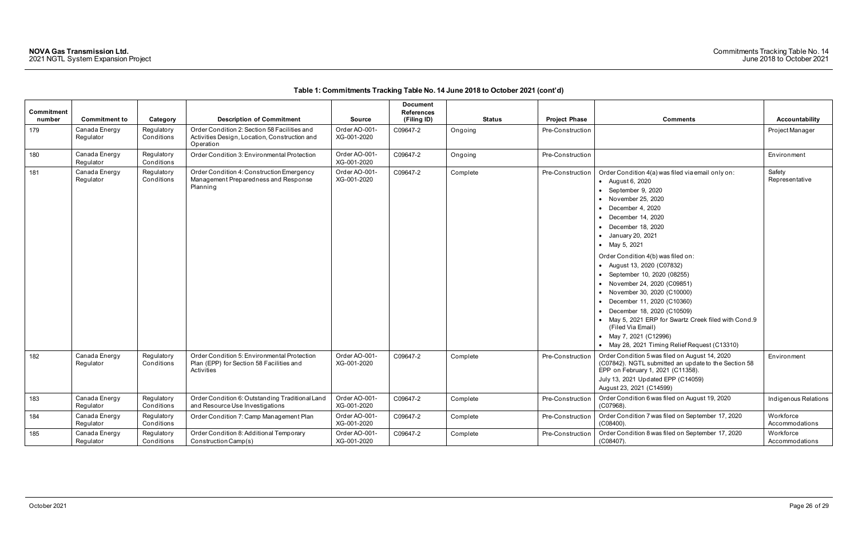| Commitment |                            |                          |                                                                                                            |                              | <b>Document</b><br><b>References</b> |               |                      |                                                                                                                                                                                                                                                                                                                                                                                                                                                                                                                                                                                                                              |                             |
|------------|----------------------------|--------------------------|------------------------------------------------------------------------------------------------------------|------------------------------|--------------------------------------|---------------|----------------------|------------------------------------------------------------------------------------------------------------------------------------------------------------------------------------------------------------------------------------------------------------------------------------------------------------------------------------------------------------------------------------------------------------------------------------------------------------------------------------------------------------------------------------------------------------------------------------------------------------------------------|-----------------------------|
| number     | <b>Commitment to</b>       | Category                 | <b>Description of Commitment</b>                                                                           | <b>Source</b>                | (Filing ID)                          | <b>Status</b> | <b>Project Phase</b> | <b>Comments</b>                                                                                                                                                                                                                                                                                                                                                                                                                                                                                                                                                                                                              | <b>Accountability</b>       |
| 179        | Canada Energy<br>Regulator | Regulatory<br>Conditions | Order Condition 2: Section 58 Facilities and<br>Activities Design, Location, Construction and<br>Operation | Order AO-001-<br>XG-001-2020 | C09647-2                             | Ongoing       | Pre-Construction     |                                                                                                                                                                                                                                                                                                                                                                                                                                                                                                                                                                                                                              | Project Manager             |
| 180        | Canada Energy<br>Regulator | Regulatory<br>Conditions | Order Condition 3: Environmental Protection                                                                | Order AO-001-<br>XG-001-2020 | C09647-2                             | Ongoing       | Pre-Construction     |                                                                                                                                                                                                                                                                                                                                                                                                                                                                                                                                                                                                                              | Environment                 |
| 181        | Canada Energy<br>Regulator | Regulatory<br>Conditions | Order Condition 4: Construction Emergency<br>Management Preparedness and Response<br>Planning              | Order AO-001-<br>XG-001-2020 | C09647-2                             | Complete      | Pre-Construction     | Order Condition 4(a) was filed via email only on:<br>• August 6, 2020<br>$\bullet$ September 9, 2020<br>• November 25, 2020<br>December 4, 2020<br>December 14, 2020<br>December 18, 2020<br>• January 20, 2021<br>• May 5, 2021<br>Order Condition 4(b) was filed on:<br>• August 13, 2020 (C07832)<br>• September 10, 2020 (08255)<br>• November 24, 2020 (C09851)<br>• November 30, 2020 (C10000)<br>• December 11, 2020 (C10360)<br>• December 18, 2020 (C10509)<br>• May 5, 2021 ERP for Swartz Creek filed with Cond.9<br>(Filed Via Email)<br>• May 7, 2021 (C12996)<br>• May 28, 2021 Timing Relief Request (C13310) | Safety<br>Representative    |
| 182        | Canada Energy<br>Regulator | Regulatory<br>Conditions | Order Condition 5: Environmental Protection<br>Plan (EPP) for Section 58 Facilities and<br>Activities      | Order AO-001-<br>XG-001-2020 | C09647-2                             | Complete      | Pre-Construction     | Order Condition 5 was filed on August 14, 2020<br>(C07842). NGTL submitted an update to the Section 58<br>EPP on February 1, 2021 (C11358).<br>July 13, 2021 Updated EPP (C14059)<br>August 23, 2021 (C14599)                                                                                                                                                                                                                                                                                                                                                                                                                | Environment                 |
| 183        | Canada Energy<br>Regulator | Regulatory<br>Conditions | Order Condition 6: Outstanding Traditional Land<br>and Resource Use Investigations                         | Order AO-001-<br>XG-001-2020 | C09647-2                             | Complete      | Pre-Construction     | Order Condition 6 was filed on August 19, 2020<br>$(C07968)$ .                                                                                                                                                                                                                                                                                                                                                                                                                                                                                                                                                               | Indigenous Relations        |
| 184        | Canada Energy<br>Regulator | Regulatory<br>Conditions | Order Condition 7: Camp Management Plan                                                                    | Order AO-001-<br>XG-001-2020 | C09647-2                             | Complete      | Pre-Construction     | Order Condition 7 was filed on September 17, 2020<br>$(C08400)$ .                                                                                                                                                                                                                                                                                                                                                                                                                                                                                                                                                            | Workforce<br>Accommodations |
| 185        | Canada Energy<br>Regulator | Regulatory<br>Conditions | Order Condition 8: Additional Temporary<br>Construction Camp(s)                                            | Order AO-001-<br>XG-001-2020 | C09647-2                             | Complete      | Pre-Construction     | Order Condition 8 was filed on September 17, 2020<br>(C08407).                                                                                                                                                                                                                                                                                                                                                                                                                                                                                                                                                               | Workforce<br>Accommodations |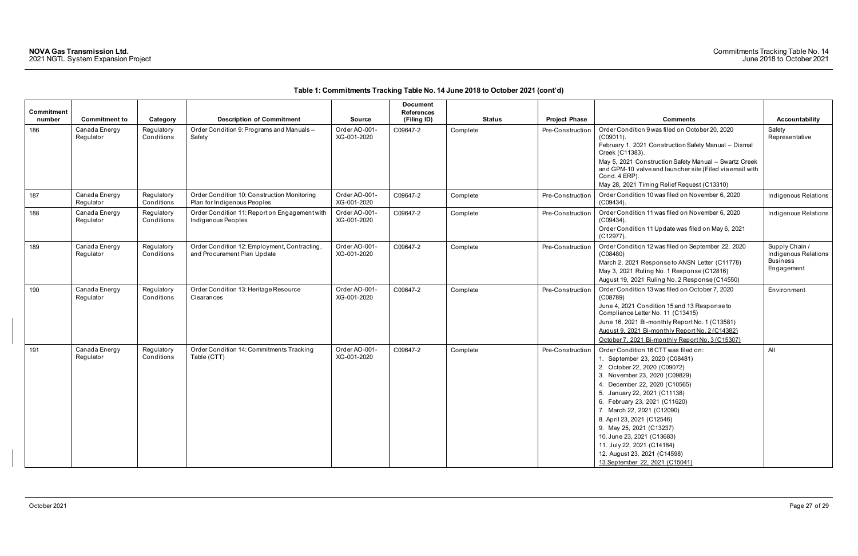| Commitment |                            |                          |                                                                             |                              | <b>Document</b><br><b>References</b> |               |                      |                                                                                                                                                                                                                                                                                                                                                                                                                                                                  |                                                                         |
|------------|----------------------------|--------------------------|-----------------------------------------------------------------------------|------------------------------|--------------------------------------|---------------|----------------------|------------------------------------------------------------------------------------------------------------------------------------------------------------------------------------------------------------------------------------------------------------------------------------------------------------------------------------------------------------------------------------------------------------------------------------------------------------------|-------------------------------------------------------------------------|
| number     | <b>Commitment to</b>       | Category                 | <b>Description of Commitment</b>                                            | <b>Source</b>                | (Filing ID)                          | <b>Status</b> | <b>Project Phase</b> | <b>Comments</b>                                                                                                                                                                                                                                                                                                                                                                                                                                                  | Accountability                                                          |
| 186        | Canada Energy<br>Regulator | Regulatory<br>Conditions | Order Condition 9: Programs and Manuals-<br>Safety                          | Order AO-001-<br>XG-001-2020 | C09647-2                             | Complete      | Pre-Construction     | Order Condition 9 was filed on October 20, 2020<br>$(C09011)$ .<br>February 1, 2021 Construction Safety Manual - Dismal<br>Creek (C11383).<br>May 5, 2021 Construction Safety Manual - Swartz Creek                                                                                                                                                                                                                                                              | Safety<br>Representative                                                |
|            |                            |                          |                                                                             |                              |                                      |               |                      | and GPM-10 valve and launcher site (Filed via email with<br>Cond. 4 ERP).<br>May 28, 2021 Timing Relief Request (C13310)                                                                                                                                                                                                                                                                                                                                         |                                                                         |
| 187        | Canada Energy<br>Regulator | Regulatory<br>Conditions | Order Condition 10: Construction Monitoring<br>Plan for Indigenous Peoples  | Order AO-001-<br>XG-001-2020 | C09647-2                             | Complete      | Pre-Construction     | Order Condition 10 was filed on November 6, 2020<br>$(C09434)$ .                                                                                                                                                                                                                                                                                                                                                                                                 | Indigenous Relations                                                    |
| 188        | Canada Energy<br>Regulator | Regulatory<br>Conditions | Order Condition 11: Report on Engagement with<br>Indigenous Peoples         | Order AO-001-<br>XG-001-2020 | C09647-2                             | Complete      | Pre-Construction     | Order Condition 11 was filed on November 6, 2020<br>$(C09434)$ .<br>Order Condition 11 Update was filed on May 6, 2021<br>$(C12977)$ .                                                                                                                                                                                                                                                                                                                           | Indigenous Relations                                                    |
| 189        | Canada Energy<br>Regulator | Regulatory<br>Conditions | Order Condition 12: Employment, Contracting,<br>and Procurement Plan Update | Order AO-001-<br>XG-001-2020 | C09647-2                             | Complete      | Pre-Construction     | Order Condition 12 was filed on September 22, 2020<br>(C08480)<br>March 2, 2021 Response to ANSN Letter (C11778)<br>May 3, 2021 Ruling No. 1 Response (C12816)<br>August 19, 2021 Ruling No. 2 Response (C14550)                                                                                                                                                                                                                                                 | Supply Chain /<br>Indigenous Relations<br><b>Business</b><br>Engagement |
| 190        | Canada Energy<br>Regulator | Regulatory<br>Conditions | Order Condition 13: Heritage Resource<br>Clearances                         | Order AO-001-<br>XG-001-2020 | C09647-2                             | Complete      | Pre-Construction     | Order Condition 13 was filed on October 7, 2020<br>(C08789)<br>June 4, 2021 Condition 15 and 13 Response to<br>Compliance Letter No. 11 (C13415)<br>June 16, 2021 Bi-monthly Report No. 1 (C13581)<br>August 9, 2021 Bi-monthly Report No. 2 (C14382)<br>October 7, 2021 Bi-monthly Report No. 3 (C15307)                                                                                                                                                        | Environment                                                             |
| 191        | Canada Energy<br>Regulator | Regulatory<br>Conditions | Order Condition 14: Commitments Tracking<br>Table (CTT)                     | Order AO-001-<br>XG-001-2020 | C09647-2                             | Complete      | Pre-Construction     | Order Condition 16 CTT was filed on:<br>1. September 23, 2020 (C08481)<br>2. October 22, 2020 (C09072)<br>3. November 23, 2020 (C09829)<br>4. December 22, 2020 (C10565)<br>5. January 22, 2021 (C11138)<br>6. February 23, 2021 (C11620)<br>7. March 22, 2021 (C12090)<br>8. April 23, 2021 (C12546)<br>9. May 25, 2021 (C13237)<br>10. June 23, 2021 (C13683)<br>11. July 22, 2021 (C14184)<br>12. August 23, 2021 (C14598)<br>13. September 22, 2021 (C15041) | All                                                                     |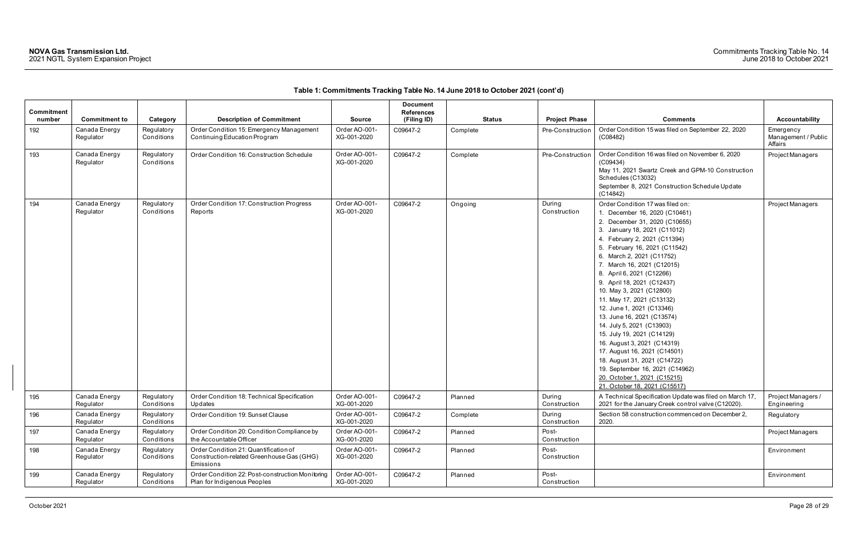| Commitment |                            |                          |                                                                                                 |                              | <b>Document</b><br><b>References</b> |               |                        |                                                                                                                                                                                                                                                                                                                                                                                                                                                                                                                                                                                                                                                                                                             |                                             |
|------------|----------------------------|--------------------------|-------------------------------------------------------------------------------------------------|------------------------------|--------------------------------------|---------------|------------------------|-------------------------------------------------------------------------------------------------------------------------------------------------------------------------------------------------------------------------------------------------------------------------------------------------------------------------------------------------------------------------------------------------------------------------------------------------------------------------------------------------------------------------------------------------------------------------------------------------------------------------------------------------------------------------------------------------------------|---------------------------------------------|
| number     | <b>Commitment to</b>       | Category                 | <b>Description of Commitment</b>                                                                | <b>Source</b>                | (Filing ID)                          | <b>Status</b> | <b>Project Phase</b>   | <b>Comments</b>                                                                                                                                                                                                                                                                                                                                                                                                                                                                                                                                                                                                                                                                                             | Accountability                              |
| 192        | Canada Energy<br>Regulator | Regulatory<br>Conditions | Order Condition 15: Emergency Management<br>Continuing Education Program                        | Order AO-001-<br>XG-001-2020 | C09647-2                             | Complete      | Pre-Construction       | Order Condition 15 was filed on September 22, 2020<br>(C08482)                                                                                                                                                                                                                                                                                                                                                                                                                                                                                                                                                                                                                                              | Emergency<br>Management / Public<br>Affairs |
| 193        | Canada Energy<br>Regulator | Regulatory<br>Conditions | Order Condition 16: Construction Schedule                                                       | Order AO-001-<br>XG-001-2020 | C09647-2                             | Complete      | Pre-Construction       | Order Condition 16 was filed on November 6, 2020<br>(C09434)<br>May 11, 2021 Swartz Creek and GPM-10 Construction<br>Schedules (C13032)<br>September 8, 2021 Construction Schedule Update<br>(C14842)                                                                                                                                                                                                                                                                                                                                                                                                                                                                                                       | Project Managers                            |
| 194        | Canada Energy<br>Regulator | Regulatory<br>Conditions | Order Condition 17: Construction Progress<br>Reports                                            | Order AO-001-<br>XG-001-2020 | C09647-2                             | Ongoing       | During<br>Construction | Order Condition 17 was filed on:<br>1. December 16, 2020 (C10461)<br>2. December 31, 2020 (C10655)<br>3. January 18, 2021 (C11012)<br>4. February 2, 2021 (C11394)<br>5. February 16, 2021 (C11542)<br>6. March 2, 2021 (C11752)<br>7. March 16, 2021 (C12015)<br>8. April 6, 2021 (C12266)<br>9. April 18, 2021 (C12437)<br>10. May 3, 2021 (C12800)<br>11. May 17, 2021 (C13132)<br>12. June 1, 2021 (C13346)<br>13. June 16, 2021 (C13574)<br>14. July 5, 2021 (C13903)<br>15. July 19, 2021 (C14129)<br>16. August 3, 2021 (C14319)<br>17. August 16, 2021 (C14501)<br>18. August 31, 2021 (C14722)<br>19. September 16, 2021 (C14962)<br>20. October 1, 2021 (C15215)<br>21. October 18, 2021 (C15517) | Project Managers                            |
| 195        | Canada Energy<br>Regulator | Regulatory<br>Conditions | Order Condition 18: Technical Specification<br>Updates                                          | Order AO-001-<br>XG-001-2020 | C09647-2                             | Planned       | During<br>Construction | A Technical Specification Update was filed on March 17,<br>2021 for the January Creek control valve (C12020).                                                                                                                                                                                                                                                                                                                                                                                                                                                                                                                                                                                               | Project Managers /<br>Engineering           |
| 196        | Canada Energy<br>Regulator | Regulatory<br>Conditions | Order Condition 19: Sunset Clause                                                               | Order AO-001-<br>XG-001-2020 | C09647-2                             | Complete      | During<br>Construction | Section 58 construction commenced on December 2,<br>2020.                                                                                                                                                                                                                                                                                                                                                                                                                                                                                                                                                                                                                                                   | Regulatory                                  |
| 197        | Canada Energy<br>Regulator | Regulatory<br>Conditions | Order Condition 20: Condition Compliance by<br>the Accountable Officer                          | Order AO-001-<br>XG-001-2020 | C09647-2                             | Planned       | Post-<br>Construction  |                                                                                                                                                                                                                                                                                                                                                                                                                                                                                                                                                                                                                                                                                                             | Project Managers                            |
| 198        | Canada Energy<br>Regulator | Regulatory<br>Conditions | Order Condition 21: Quantification of<br>Construction-related Greenhouse Gas (GHG)<br>Emissions | Order AO-001-<br>XG-001-2020 | C09647-2                             | Planned       | Post-<br>Construction  |                                                                                                                                                                                                                                                                                                                                                                                                                                                                                                                                                                                                                                                                                                             | Environment                                 |
| 199        | Canada Energy<br>Regulator | Regulatory<br>Conditions | Order Condition 22: Post-construction Monitoring<br>Plan for Indigenous Peoples                 | Order AO-001-<br>XG-001-2020 | C09647-2                             | Planned       | Post-<br>Construction  |                                                                                                                                                                                                                                                                                                                                                                                                                                                                                                                                                                                                                                                                                                             | Environment                                 |